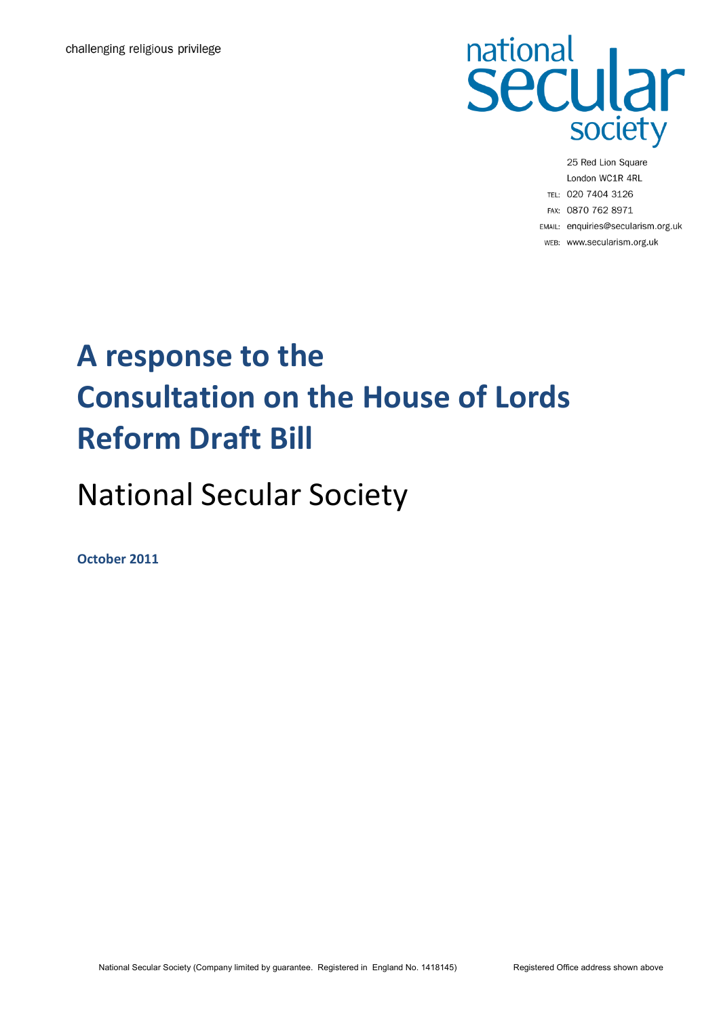

25 Red Lion Square London WC1R 4RL TEL: 020 7404 3126 FAX: 0870 762 8971 EMAIL: enquiries@secularism.org.uk WEB: www.secularism.org.uk

## **A response to the Consultation on the House of Lords Reform Draft Bill**

## National Secular Society

**October 2011**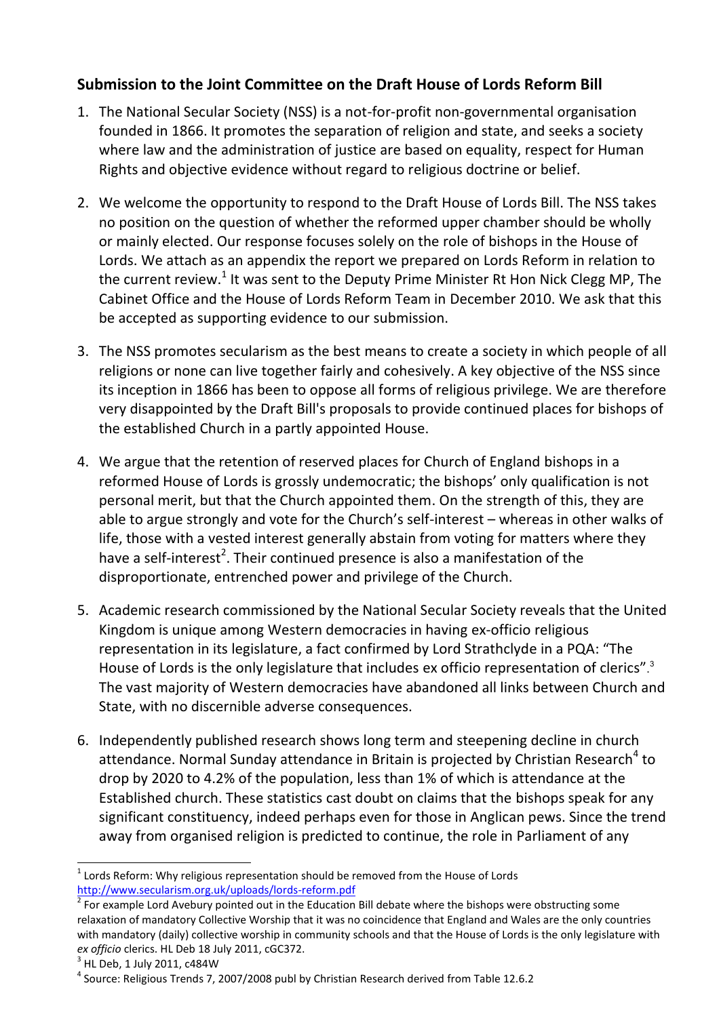## **Submission to the Joint Committee on the Draft House of Lords Reform Bill**

- 1. The National Secular Society (NSS) is a not-for-profit non-governmental organisation founded in 1866. It promotes the separation of religion and state, and seeks a society where law and the administration of justice are based on equality, respect for Human Rights and objective evidence without regard to religious doctrine or belief.
- 2. We welcome the opportunity to respond to the Draft House of Lords Bill. The NSS takes no position on the question of whether the reformed upper chamber should be wholly or mainly elected. Our response focuses solely on the role of bishops in the House of Lords. We attach as an appendix the report we prepared on Lords Reform in relation to the current review.<sup>1</sup> It was sent to the Deputy Prime Minister Rt Hon Nick Clegg MP, The Cabinet Office and the House of Lords Reform Team in December 2010. We ask that this be accepted as supporting evidence to our submission.
- 3. The NSS promotes secularism as the best means to create a society in which people of all religions or none can live together fairly and cohesively. A key objective of the NSS since its inception in 1866 has been to oppose all forms of religious privilege. We are therefore very disappointed by the Draft Bill's proposals to provide continued places for bishops of the established Church in a partly appointed House.
- 4. We argue that the retention of reserved places for Church of England bishops in a reformed House of Lords is grossly undemocratic; the bishops' only qualification is not personal merit, but that the Church appointed them. On the strength of this, they are able to argue strongly and vote for the Church's self-interest – whereas in other walks of life, those with a vested interest generally abstain from voting for matters where they have a self-interest<sup>2</sup>. Their continued presence is also a manifestation of the disproportionate, entrenched power and privilege of the Church.
- 5. Academic research commissioned by the National Secular Society reveals that the United Kingdom is unique among Western democracies in having ex-officio religious representation in its legislature, a fact confirmed by Lord Strathclyde in a PQA: "The House of Lords is the only legislature that includes ex officio representation of clerics".<sup>3</sup> The vast majority of Western democracies have abandoned all links between Church and State, with no discernible adverse consequences.
- 6. Independently published research shows long term and steepening decline in church attendance. Normal Sunday attendance in Britain is projected by Christian Research<sup>4</sup> to drop by 2020 to 4.2% of the population, less than 1% of which is attendance at the Established church. These statistics cast doubt on claims that the bishops speak for any significant constituency, indeed perhaps even for those in Anglican pews. Since the trend away from organised religion is predicted to continue, the role in Parliament of any

l

 $1$  Lords Reform: Why religious representation should be removed from the House of Lords <http://www.secularism.org.uk/uploads/lords-reform.pdf>

 $2$  For example Lord Avebury pointed out in the Education Bill debate where the bishops were obstructing some relaxation of mandatory Collective Worship that it was no coincidence that England and Wales are the only countries with mandatory (daily) collective worship in community schools and that the House of Lords is the only legislature with *ex officio* clerics. HL Deb 18 July 2011, cGC372.

 $^3$  HL Deb, 1 July 2011, c484W

<sup>&</sup>lt;sup>4</sup> Source: Religious Trends 7, 2007/2008 publ by Christian Research derived from Table 12.6.2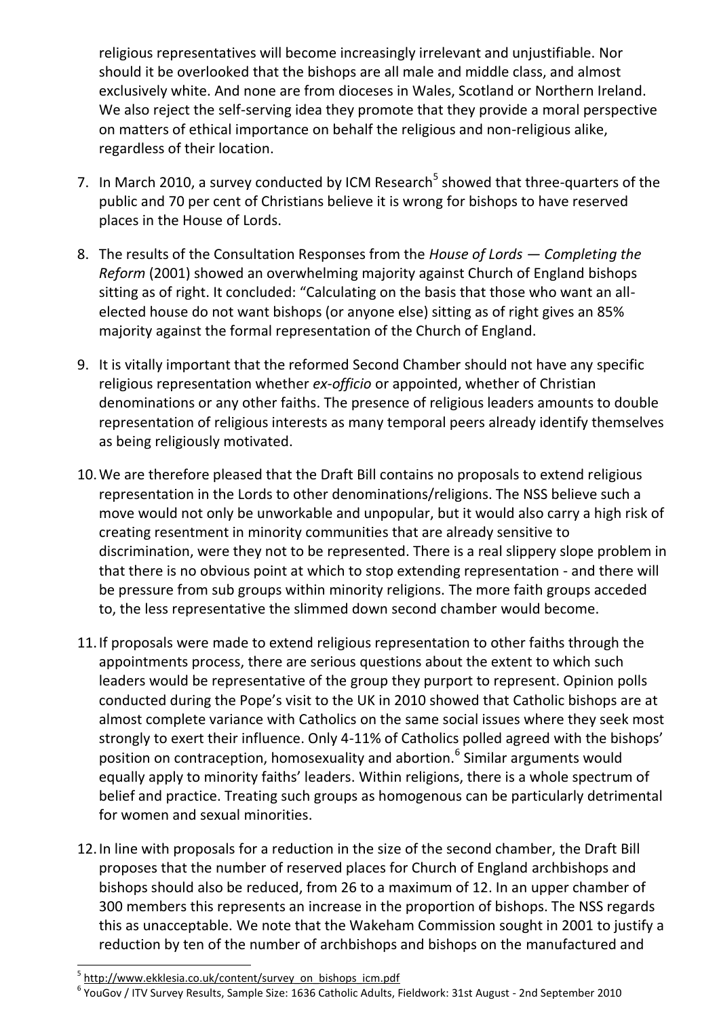religious representatives will become increasingly irrelevant and unjustifiable. Nor should it be overlooked that the bishops are all male and middle class, and almost exclusively white. And none are from dioceses in Wales, Scotland or Northern Ireland. We also reject the self-serving idea they promote that they provide a moral perspective on matters of ethical importance on behalf the religious and non-religious alike, regardless of their location.

- 7. In March 2010, a survey conducted by ICM Research<sup>5</sup> showed that three-quarters of the public and 70 per cent of Christians believe it is wrong for bishops to have reserved places in the House of Lords.
- 8. The results of the Consultation Responses from the *House of Lords — Completing the Reform* (2001) showed an overwhelming majority against Church of England bishops sitting as of right. It concluded: "Calculating on the basis that those who want an allelected house do not want bishops (or anyone else) sitting as of right gives an 85% majority against the formal representation of the Church of England.
- 9. It is vitally important that the reformed Second Chamber should not have any specific religious representation whether *ex-officio* or appointed, whether of Christian denominations or any other faiths. The presence of religious leaders amounts to double representation of religious interests as many temporal peers already identify themselves as being religiously motivated.
- 10.We are therefore pleased that the Draft Bill contains no proposals to extend religious representation in the Lords to other denominations/religions. The NSS believe such a move would not only be unworkable and unpopular, but it would also carry a high risk of creating resentment in minority communities that are already sensitive to discrimination, were they not to be represented. There is a real slippery slope problem in that there is no obvious point at which to stop extending representation - and there will be pressure from sub groups within minority religions. The more faith groups acceded to, the less representative the slimmed down second chamber would become.
- 11.If proposals were made to extend religious representation to other faiths through the appointments process, there are serious questions about the extent to which such leaders would be representative of the group they purport to represent. Opinion polls conducted during the Pope's visit to the UK in 2010 showed that Catholic bishops are at almost complete variance with Catholics on the same social issues where they seek most strongly to exert their influence. Only 4-11% of Catholics polled agreed with the bishops' position on contraception, homosexuality and abortion.<sup>6</sup> Similar arguments would equally apply to minority faiths' leaders. Within religions, there is a whole spectrum of belief and practice. Treating such groups as homogenous can be particularly detrimental for women and sexual minorities.
- 12.In line with proposals for a reduction in the size of the second chamber, the Draft Bill proposes that the number of reserved places for Church of England archbishops and bishops should also be reduced, from 26 to a maximum of 12. In an upper chamber of 300 members this represents an increase in the proportion of bishops. The NSS regards this as unacceptable. We note that the Wakeham Commission sought in 2001 to justify a reduction by ten of the number of archbishops and bishops on the manufactured and

l

<sup>&</sup>lt;sup>5</sup> [http://www.ekklesia.co.uk/content/survey\\_on\\_bishops\\_icm.pdf](http://www.ekklesia.co.uk/content/survey_on_bishops_icm.pdf)

<sup>6</sup> YouGov / ITV Survey Results, Sample Size: 1636 Catholic Adults, Fieldwork: 31st August - 2nd September 2010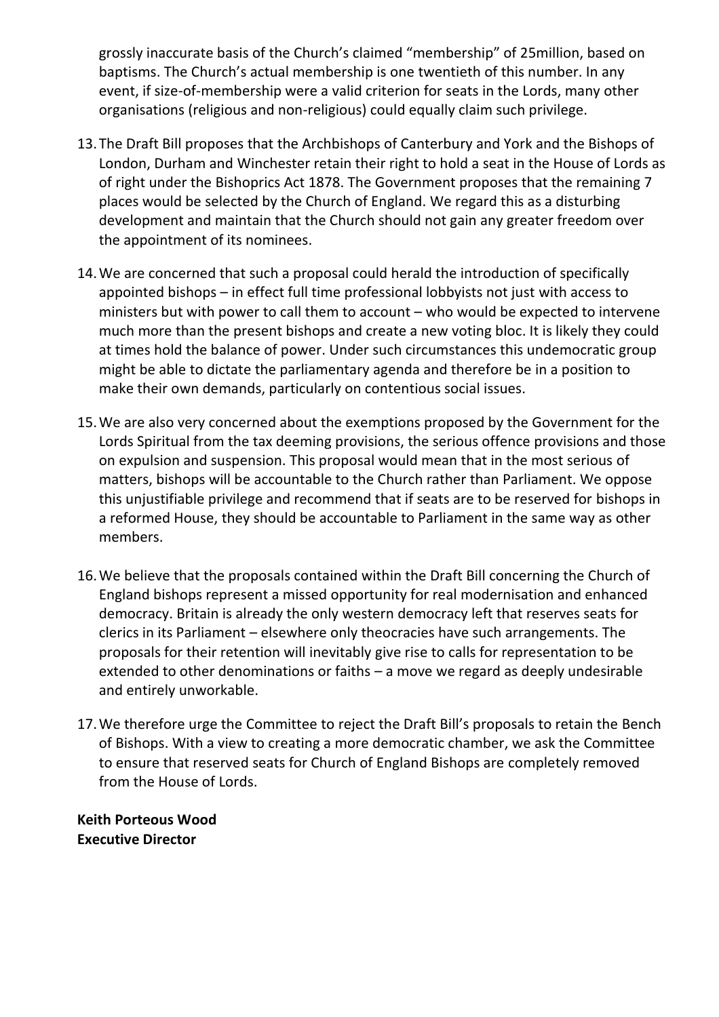grossly inaccurate basis of the Church's claimed "membership" of 25million, based on baptisms. The Church's actual membership is one twentieth of this number. In any event, if size-of-membership were a valid criterion for seats in the Lords, many other organisations (religious and non-religious) could equally claim such privilege.

- 13.The Draft Bill proposes that the Archbishops of Canterbury and York and the Bishops of London, Durham and Winchester retain their right to hold a seat in the House of Lords as of right under the Bishoprics Act 1878. The Government proposes that the remaining 7 places would be selected by the Church of England. We regard this as a disturbing development and maintain that the Church should not gain any greater freedom over the appointment of its nominees.
- 14.We are concerned that such a proposal could herald the introduction of specifically appointed bishops – in effect full time professional lobbyists not just with access to ministers but with power to call them to account – who would be expected to intervene much more than the present bishops and create a new voting bloc. It is likely they could at times hold the balance of power. Under such circumstances this undemocratic group might be able to dictate the parliamentary agenda and therefore be in a position to make their own demands, particularly on contentious social issues.
- 15.We are also very concerned about the exemptions proposed by the Government for the Lords Spiritual from the tax deeming provisions, the serious offence provisions and those on expulsion and suspension. This proposal would mean that in the most serious of matters, bishops will be accountable to the Church rather than Parliament. We oppose this unjustifiable privilege and recommend that if seats are to be reserved for bishops in a reformed House, they should be accountable to Parliament in the same way as other members.
- 16.We believe that the proposals contained within the Draft Bill concerning the Church of England bishops represent a missed opportunity for real modernisation and enhanced democracy. Britain is already the only western democracy left that reserves seats for clerics in its Parliament – elsewhere only theocracies have such arrangements. The proposals for their retention will inevitably give rise to calls for representation to be extended to other denominations or faiths – a move we regard as deeply undesirable and entirely unworkable.
- 17.We therefore urge the Committee to reject the Draft Bill's proposals to retain the Bench of Bishops. With a view to creating a more democratic chamber, we ask the Committee to ensure that reserved seats for Church of England Bishops are completely removed from the House of Lords.

**Keith Porteous Wood Executive Director**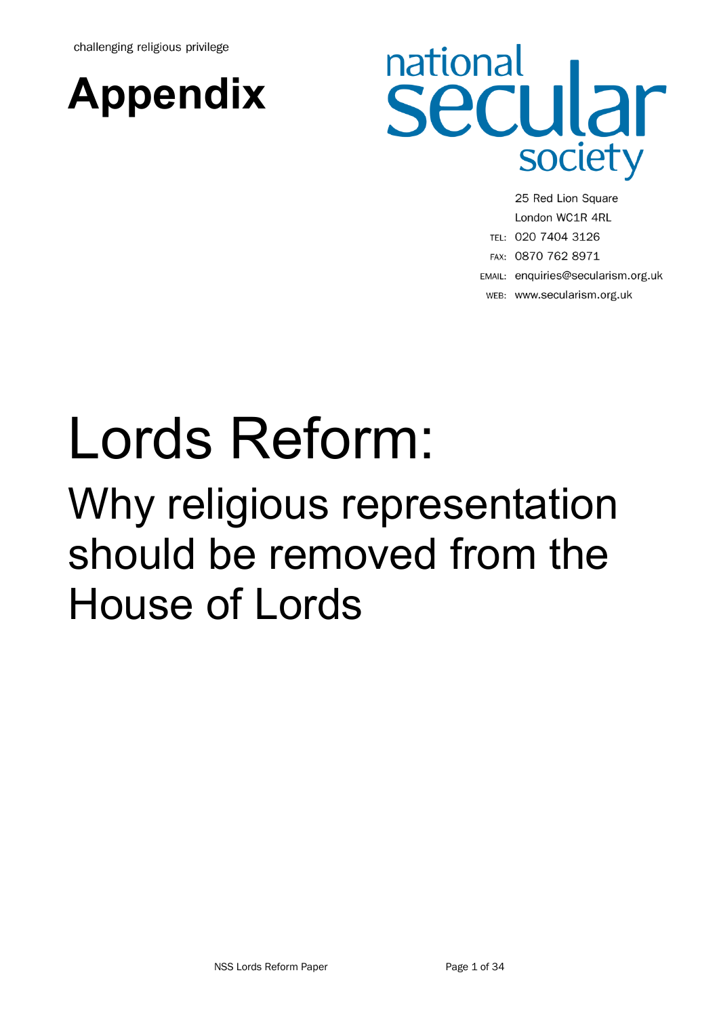challenging religious privilege



# national **secular** society

25 Red Lion Square London WC1R 4RL TEL: 020 7404 3126 FAX: 0870 762 8971 EMAIL: enquiries@secularism.org.uk WEB: www.secularism.org.uk

# Lords Reform: Why religious representation should be removed from the House of Lords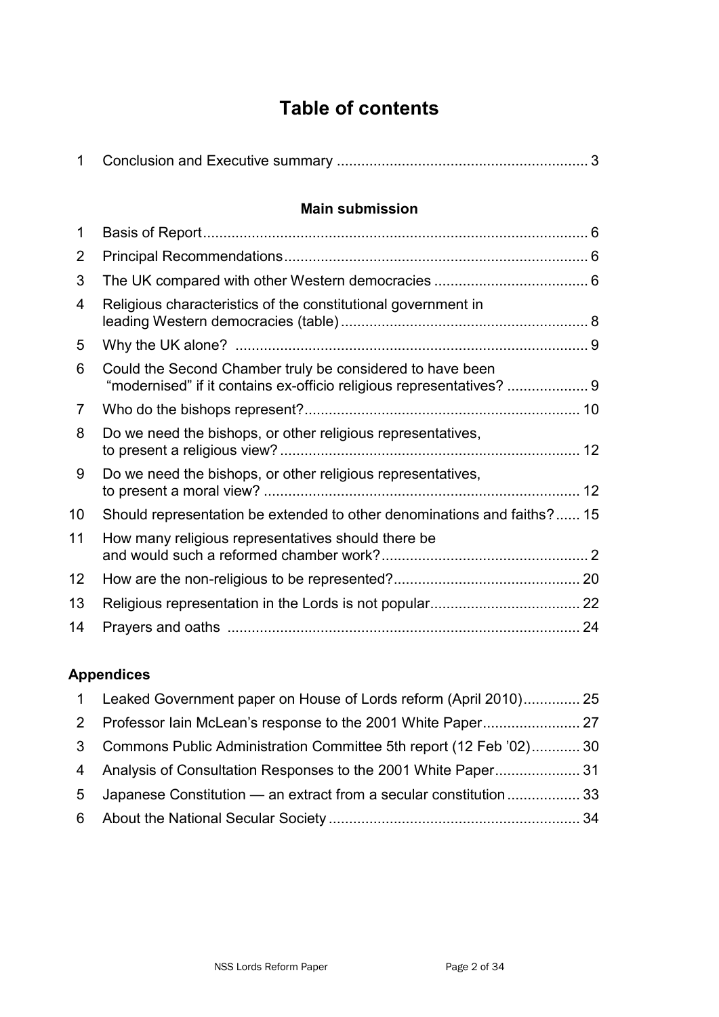## **Table of contents**

| $\mathbf{1}$   |                                                                                                                                   |  |
|----------------|-----------------------------------------------------------------------------------------------------------------------------------|--|
|                | <b>Main submission</b>                                                                                                            |  |
| $\mathbf 1$    |                                                                                                                                   |  |
| 2              |                                                                                                                                   |  |
| 3              |                                                                                                                                   |  |
| $\overline{4}$ | Religious characteristics of the constitutional government in                                                                     |  |
| 5              |                                                                                                                                   |  |
| 6              | Could the Second Chamber truly be considered to have been<br>"modernised" if it contains ex-officio religious representatives?  9 |  |
| $\overline{7}$ |                                                                                                                                   |  |
| 8              | Do we need the bishops, or other religious representatives,                                                                       |  |
| 9              | Do we need the bishops, or other religious representatives,                                                                       |  |
| 10             | Should representation be extended to other denominations and faiths? 15                                                           |  |
| 11             | How many religious representatives should there be                                                                                |  |
| 12             |                                                                                                                                   |  |
| 13             |                                                                                                                                   |  |
| 14             |                                                                                                                                   |  |

## **Appendices**

| $\sim$ 1     | Leaked Government paper on House of Lords reform (April 2010) 25   |  |
|--------------|--------------------------------------------------------------------|--|
| 2            |                                                                    |  |
| $\mathbf{3}$ | Commons Public Administration Committee 5th report (12 Feb '02) 30 |  |
|              |                                                                    |  |
| 5            | Japanese Constitution — an extract from a secular constitution  33 |  |
|              |                                                                    |  |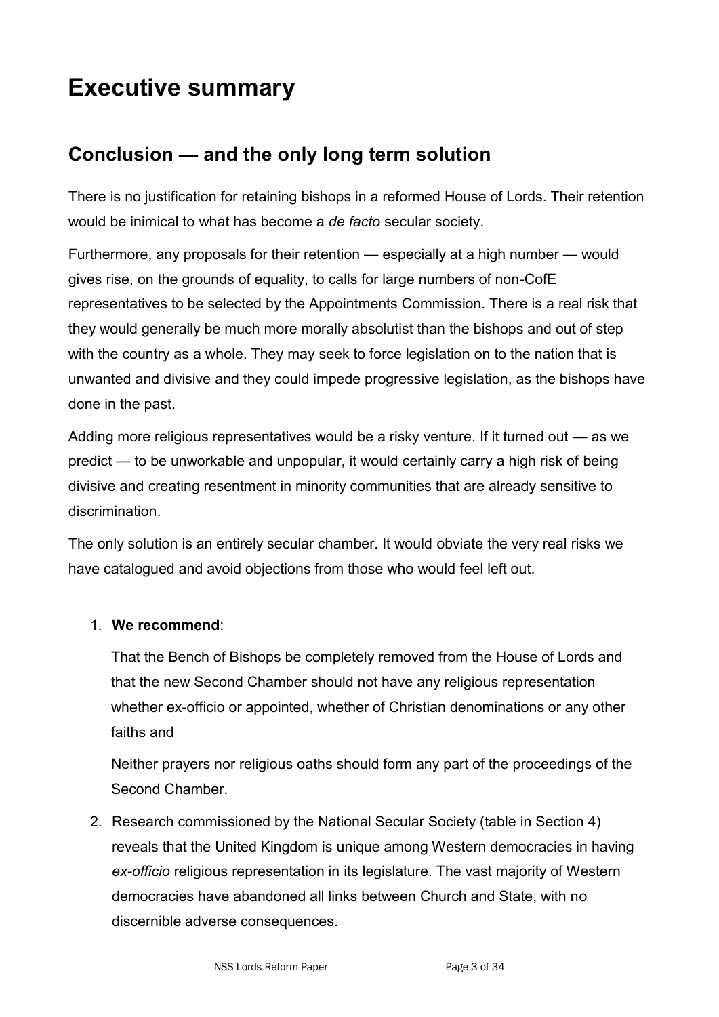## **Executive summary**

## **Conclusion — and the only long term solution**

There is no justification for retaining bishops in a reformed House of Lords. Their retention would be inimical to what has become a *de facto* secular society.

Furthermore, any proposals for their retention — especially at a high number — would gives rise, on the grounds of equality, to calls for large numbers of non-CofE representatives to be selected by the Appointments Commission. There is a real risk that they would generally be much more morally absolutist than the bishops and out of step with the country as a whole. They may seek to force legislation on to the nation that is unwanted and divisive and they could impede progressive legislation, as the bishops have done in the past.

Adding more religious representatives would be a risky venture. If it turned out — as we predict — to be unworkable and unpopular, it would certainly carry a high risk of being divisive and creating resentment in minority communities that are already sensitive to discrimination.

The only solution is an entirely secular chamber. It would obviate the very real risks we have catalogued and avoid objections from those who would feel left out.

### 1. **We recommend**:

That the Bench of Bishops be completely removed from the House of Lords and that the new Second Chamber should not have any religious representation whether ex-officio or appointed, whether of Christian denominations or any other faiths and

Neither prayers nor religious oaths should form any part of the proceedings of the Second Chamber.

2. Research commissioned by the National Secular Society (table in Section 4) reveals that the United Kingdom is unique among Western democracies in having *ex-officio* religious representation in its legislature. The vast majority of Western democracies have abandoned all links between Church and State, with no discernible adverse consequences.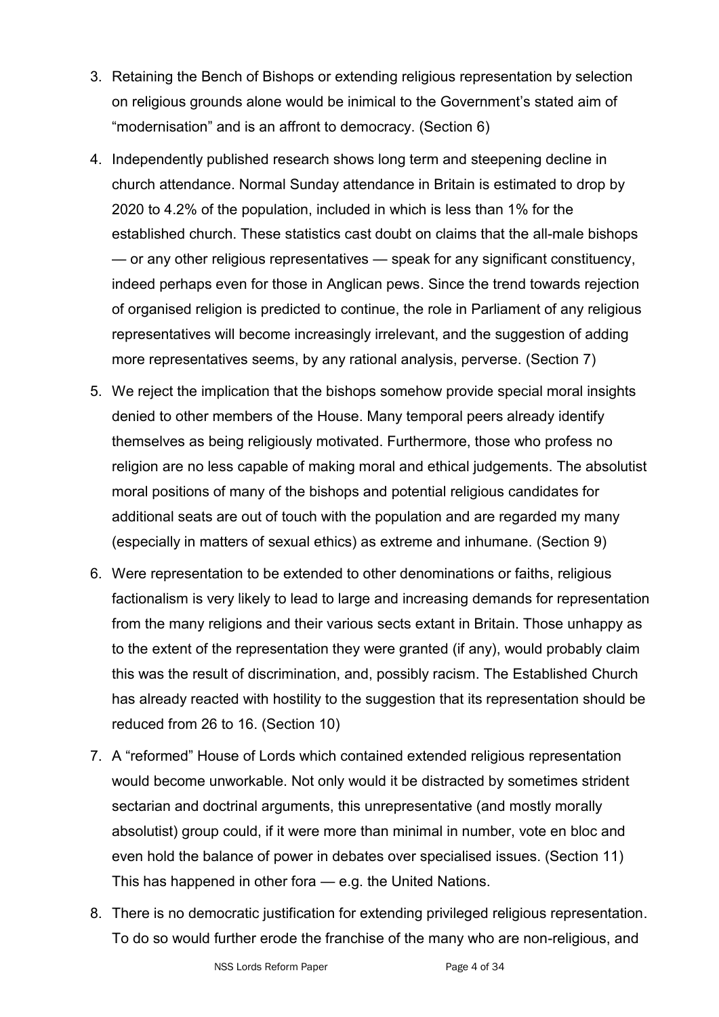- 3. Retaining the Bench of Bishops or extending religious representation by selection on religious grounds alone would be inimical to the Government's stated aim of "modernisation" and is an affront to democracy. (Section 6)
- 4. Independently published research shows long term and steepening decline in church attendance. Normal Sunday attendance in Britain is estimated to drop by 2020 to 4.2% of the population, included in which is less than 1% for the established church. These statistics cast doubt on claims that the all-male bishops — or any other religious representatives — speak for any significant constituency, indeed perhaps even for those in Anglican pews. Since the trend towards rejection of organised religion is predicted to continue, the role in Parliament of any religious representatives will become increasingly irrelevant, and the suggestion of adding more representatives seems, by any rational analysis, perverse. (Section 7)
- 5. We reject the implication that the bishops somehow provide special moral insights denied to other members of the House. Many temporal peers already identify themselves as being religiously motivated. Furthermore, those who profess no religion are no less capable of making moral and ethical judgements. The absolutist moral positions of many of the bishops and potential religious candidates for additional seats are out of touch with the population and are regarded my many (especially in matters of sexual ethics) as extreme and inhumane. (Section 9)
- 6. Were representation to be extended to other denominations or faiths, religious factionalism is very likely to lead to large and increasing demands for representation from the many religions and their various sects extant in Britain. Those unhappy as to the extent of the representation they were granted (if any), would probably claim this was the result of discrimination, and, possibly racism. The Established Church has already reacted with hostility to the suggestion that its representation should be reduced from 26 to 16. (Section 10)
- 7. A "reformed" House of Lords which contained extended religious representation would become unworkable. Not only would it be distracted by sometimes strident sectarian and doctrinal arguments, this unrepresentative (and mostly morally absolutist) group could, if it were more than minimal in number, vote en bloc and even hold the balance of power in debates over specialised issues. (Section 11) This has happened in other fora — e.g. the United Nations.
- 8. There is no democratic justification for extending privileged religious representation. To do so would further erode the franchise of the many who are non-religious, and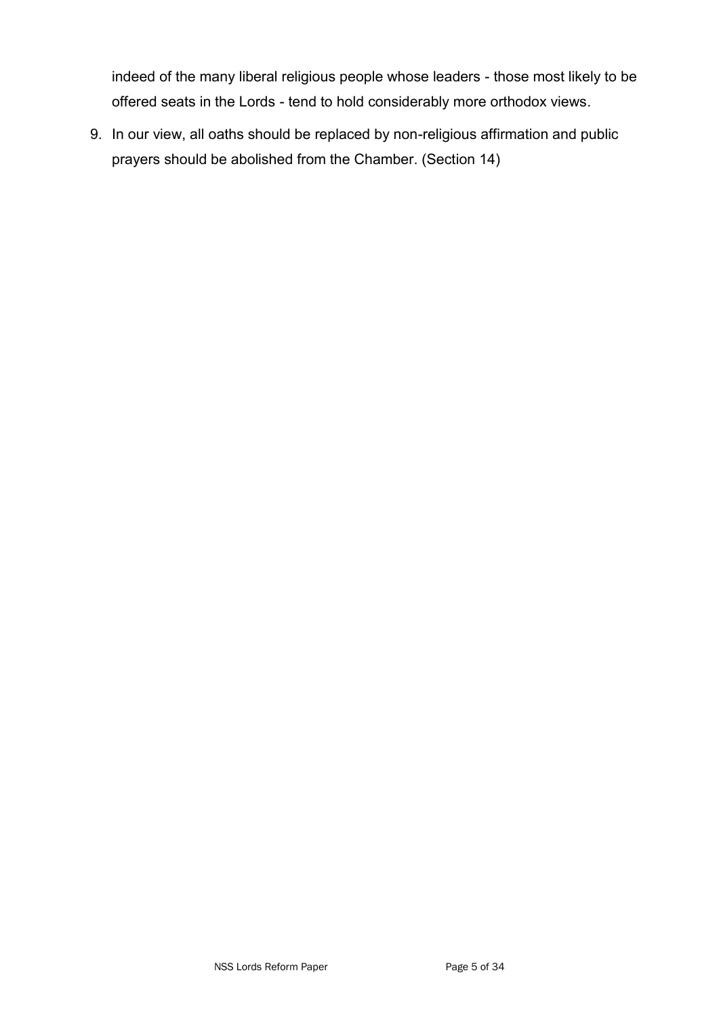indeed of the many liberal religious people whose leaders - those most likely to be offered seats in the Lords - tend to hold considerably more orthodox views.

9. In our view, all oaths should be replaced by non-religious affirmation and public prayers should be abolished from the Chamber. (Section 14)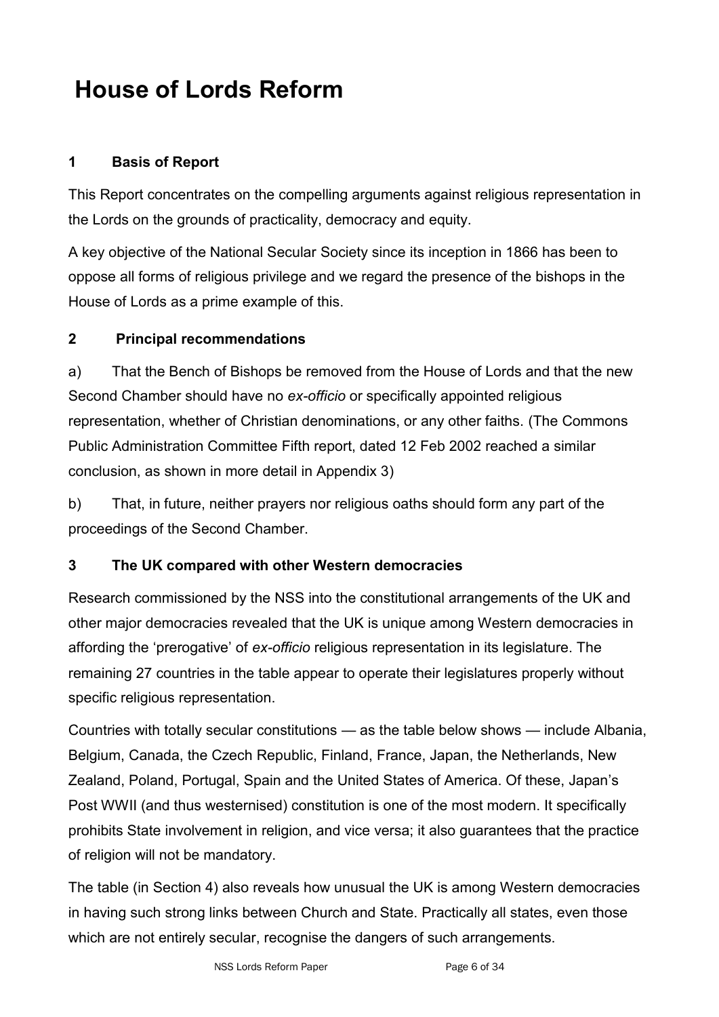## **House of Lords Reform**

## **1 Basis of Report**

This Report concentrates on the compelling arguments against religious representation in the Lords on the grounds of practicality, democracy and equity.

A key objective of the National Secular Society since its inception in 1866 has been to oppose all forms of religious privilege and we regard the presence of the bishops in the House of Lords as a prime example of this.

## **2 Principal recommendations**

a) That the Bench of Bishops be removed from the House of Lords and that the new Second Chamber should have no *ex-officio* or specifically appointed religious representation, whether of Christian denominations, or any other faiths. (The Commons Public Administration Committee Fifth report, dated 12 Feb 2002 reached a similar conclusion, as shown in more detail in Appendix 3)

b) That, in future, neither prayers nor religious oaths should form any part of the proceedings of the Second Chamber.

### **3 The UK compared with other Western democracies**

Research commissioned by the NSS into the constitutional arrangements of the UK and other major democracies revealed that the UK is unique among Western democracies in affording the ‗prerogative' of *ex-officio* religious representation in its legislature. The remaining 27 countries in the table appear to operate their legislatures properly without specific religious representation.

Countries with totally secular constitutions — as the table below shows — include Albania, Belgium, Canada, the Czech Republic, Finland, France, Japan, the Netherlands, New Zealand, Poland, Portugal, Spain and the United States of America. Of these, Japan's Post WWII (and thus westernised) constitution is one of the most modern. It specifically prohibits State involvement in religion, and vice versa; it also guarantees that the practice of religion will not be mandatory.

The table (in Section 4) also reveals how unusual the UK is among Western democracies in having such strong links between Church and State. Practically all states, even those which are not entirely secular, recognise the dangers of such arrangements.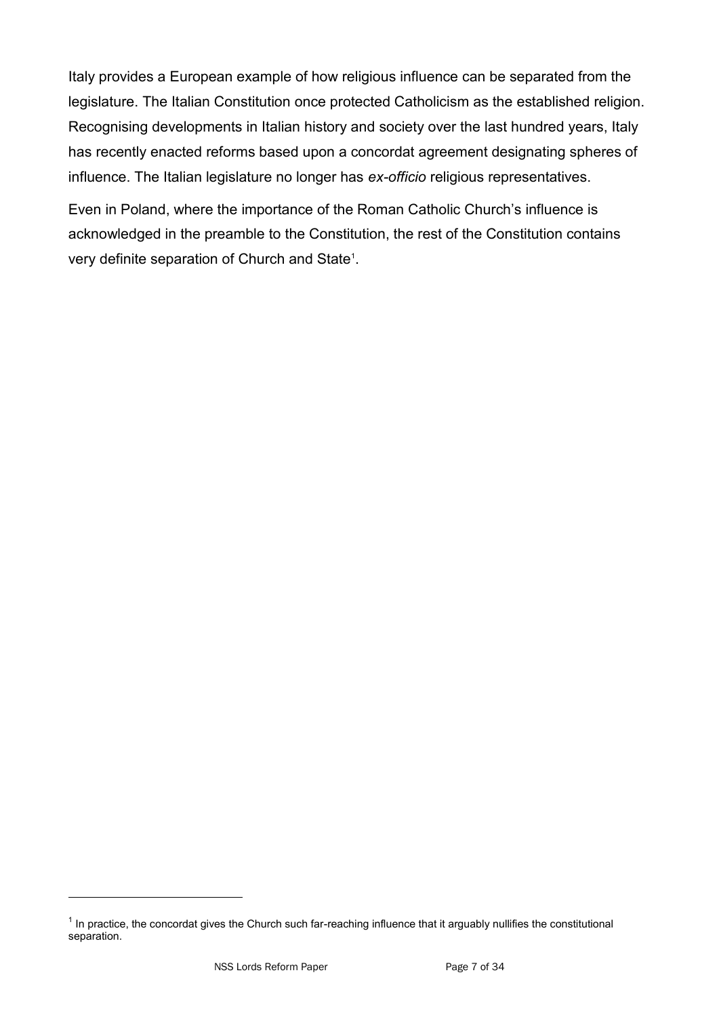Italy provides a European example of how religious influence can be separated from the legislature. The Italian Constitution once protected Catholicism as the established religion. Recognising developments in Italian history and society over the last hundred years, Italy has recently enacted reforms based upon a concordat agreement designating spheres of influence. The Italian legislature no longer has *ex-officio* religious representatives.

Even in Poland, where the importance of the Roman Catholic Church's influence is acknowledged in the preamble to the Constitution, the rest of the Constitution contains very definite separation of Church and State<sup>1</sup>.

 $1$  In practice, the concordat gives the Church such far-reaching influence that it arguably nullifies the constitutional separation.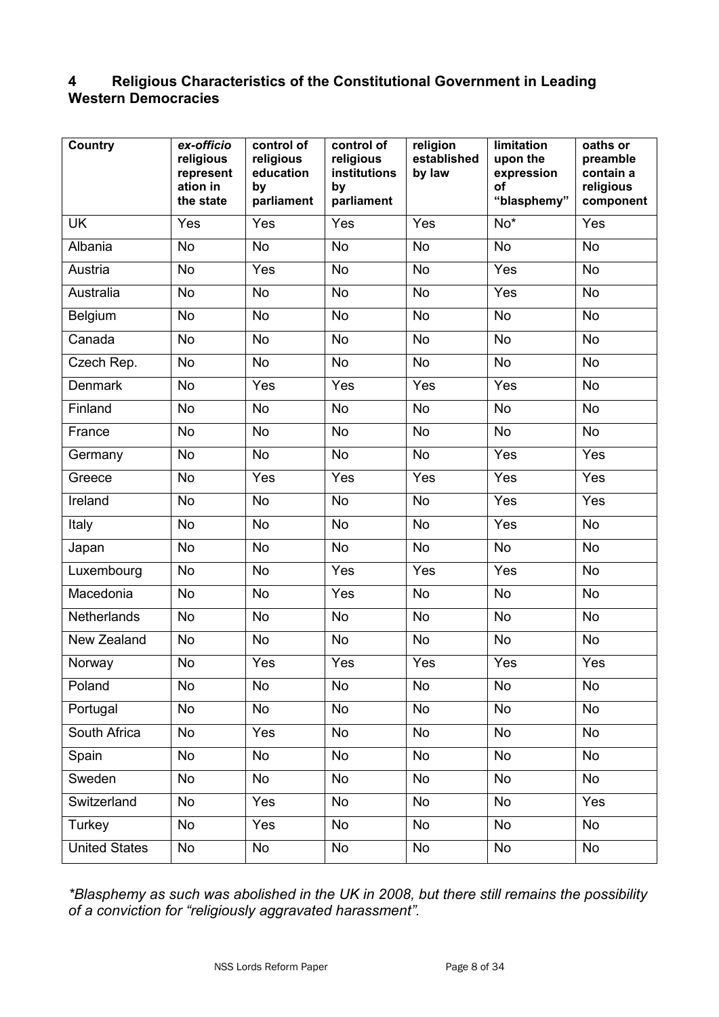## **4 Religious Characteristics of the Constitutional Government in Leading Western Democracies**

| <b>Country</b>       | ex-officio<br>religious<br>represent<br>ation in<br>the state | control of<br>religious<br>education<br>by<br>parliament | control of<br>religious<br>institutions<br>by<br>parliament | religion<br>established<br>by law | limitation<br>upon the<br>expression<br>of<br>"blasphemy" | oaths or<br>preamble<br>contain a<br>religious<br>component |
|----------------------|---------------------------------------------------------------|----------------------------------------------------------|-------------------------------------------------------------|-----------------------------------|-----------------------------------------------------------|-------------------------------------------------------------|
| <b>UK</b>            | Yes                                                           | Yes                                                      | Yes                                                         | Yes                               | $No*$                                                     | Yes                                                         |
| Albania              | <b>No</b>                                                     | <b>No</b>                                                | <b>No</b>                                                   | <b>No</b>                         | <b>No</b>                                                 | <b>No</b>                                                   |
| Austria              | <b>No</b>                                                     | Yes                                                      | <b>No</b>                                                   | <b>No</b>                         | Yes                                                       | <b>No</b>                                                   |
| Australia            | <b>No</b>                                                     | <b>No</b>                                                | <b>No</b>                                                   | <b>No</b>                         | Yes                                                       | <b>No</b>                                                   |
| Belgium              | <b>No</b>                                                     | <b>No</b>                                                | <b>No</b>                                                   | <b>No</b>                         | <b>No</b>                                                 | <b>No</b>                                                   |
| Canada               | <b>No</b>                                                     | <b>No</b>                                                | <b>No</b>                                                   | <b>No</b>                         | <b>No</b>                                                 | <b>No</b>                                                   |
| Czech Rep.           | <b>No</b>                                                     | <b>No</b>                                                | <b>No</b>                                                   | N <sub>o</sub>                    | <b>No</b>                                                 | <b>No</b>                                                   |
| <b>Denmark</b>       | <b>No</b>                                                     | Yes                                                      | Yes                                                         | Yes                               | Yes                                                       | <b>No</b>                                                   |
| Finland              | <b>No</b>                                                     | <b>No</b>                                                | <b>No</b>                                                   | N <sub>o</sub>                    | <b>No</b>                                                 | $\overline{N}$                                              |
| France               | <b>No</b>                                                     | <b>No</b>                                                | <b>No</b>                                                   | <b>No</b>                         | <b>No</b>                                                 | <b>No</b>                                                   |
| Germany              | <b>No</b>                                                     | <b>No</b>                                                | <b>No</b>                                                   | <b>No</b>                         | Yes                                                       | Yes                                                         |
| Greece               | <b>No</b>                                                     | Yes                                                      | Yes                                                         | Yes                               | Yes                                                       | Yes                                                         |
| Ireland              | <b>No</b>                                                     | <b>No</b>                                                | <b>No</b>                                                   | <b>No</b>                         | Yes                                                       | Yes                                                         |
| Italy                | <b>No</b>                                                     | <b>No</b>                                                | <b>No</b>                                                   | <b>No</b>                         | Yes                                                       | <b>No</b>                                                   |
| Japan                | <b>No</b>                                                     | <b>No</b>                                                | <b>No</b>                                                   | <b>No</b>                         | <b>No</b>                                                 | <b>No</b>                                                   |
| Luxembourg           | <b>No</b>                                                     | <b>No</b>                                                | Yes                                                         | Yes                               | Yes                                                       | <b>No</b>                                                   |
| Macedonia            | <b>No</b>                                                     | <b>No</b>                                                | Yes                                                         | <b>No</b>                         | <b>No</b>                                                 | <b>No</b>                                                   |
| <b>Netherlands</b>   | <b>No</b>                                                     | <b>No</b>                                                | <b>No</b>                                                   | <b>No</b>                         | <b>No</b>                                                 | No                                                          |
| New Zealand          | <b>No</b>                                                     | <b>No</b>                                                | <b>No</b>                                                   | <b>No</b>                         | <b>No</b>                                                 | <b>No</b>                                                   |
| Norway               | <b>No</b>                                                     | Yes                                                      | Yes                                                         | Yes                               | Yes                                                       | Yes                                                         |
| Poland               | No                                                            | No                                                       | No                                                          | No                                | No                                                        | No                                                          |
| Portugal             | $\overline{N}$                                                | <b>No</b>                                                | <b>No</b>                                                   | $\overline{N}$                    | $\overline{N}$                                            | <b>No</b>                                                   |
| South Africa         | <b>No</b>                                                     | Yes                                                      | No                                                          | <b>No</b>                         | <b>No</b>                                                 | No                                                          |
| Spain                | <b>No</b>                                                     | No                                                       | No                                                          | <b>No</b>                         | <b>No</b>                                                 | No                                                          |
| Sweden               | <b>No</b>                                                     | <b>No</b>                                                | <b>No</b>                                                   | <b>No</b>                         | <b>No</b>                                                 | <b>No</b>                                                   |
| Switzerland          | <b>No</b>                                                     | Yes                                                      | No                                                          | <b>No</b>                         | <b>No</b>                                                 | Yes                                                         |
| Turkey               | <b>No</b>                                                     | Yes                                                      | No                                                          | <b>No</b>                         | <b>No</b>                                                 | No                                                          |
| <b>United States</b> | <b>No</b>                                                     | No                                                       | No                                                          | No                                | No                                                        | No                                                          |

*\*Blasphemy as such was abolished in the UK in 2008, but there still remains the possibility of a conviction for "religiously aggravated harassment".*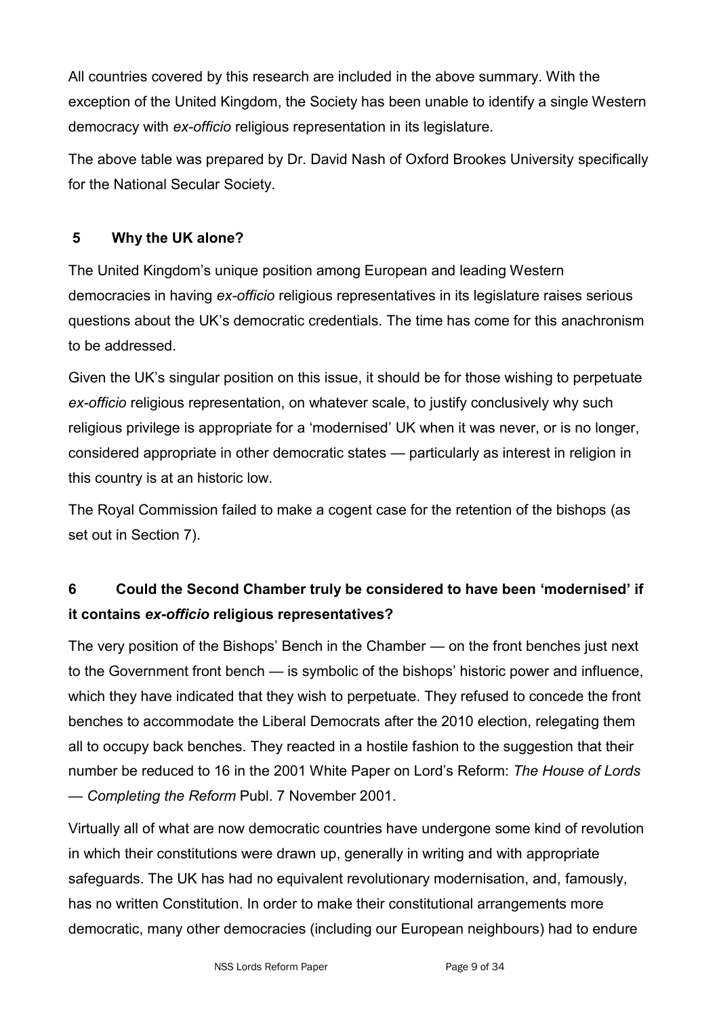All countries covered by this research are included in the above summary. With the exception of the United Kingdom, the Society has been unable to identify a single Western democracy with *ex-officio* religious representation in its legislature.

The above table was prepared by Dr. David Nash of Oxford Brookes University specifically for the National Secular Society.

## **5 Why the UK alone?**

The United Kingdom's unique position among European and leading Western democracies in having *ex-officio* religious representatives in its legislature raises serious questions about the UK's democratic credentials. The time has come for this anachronism to be addressed.

Given the UK's singular position on this issue, it should be for those wishing to perpetuate *ex-officio* religious representation, on whatever scale, to justify conclusively why such religious privilege is appropriate for a 'modernised' UK when it was never, or is no longer, considered appropriate in other democratic states — particularly as interest in religion in this country is at an historic low.

The Royal Commission failed to make a cogent case for the retention of the bishops (as set out in Section 7).

## **6 Could the Second Chamber truly be considered to have been "modernised" if it contains** *ex-officio* **religious representatives?**

The very position of the Bishops' Bench in the Chamber — on the front benches just next to the Government front bench — is symbolic of the bishops' historic power and influence, which they have indicated that they wish to perpetuate. They refused to concede the front benches to accommodate the Liberal Democrats after the 2010 election, relegating them all to occupy back benches. They reacted in a hostile fashion to the suggestion that their number be reduced to 16 in the 2001 White Paper on Lord's Reform: *The House of Lords — Completing the Reform* Publ. 7 November 2001.

Virtually all of what are now democratic countries have undergone some kind of revolution in which their constitutions were drawn up, generally in writing and with appropriate safeguards. The UK has had no equivalent revolutionary modernisation, and, famously, has no written Constitution. In order to make their constitutional arrangements more democratic, many other democracies (including our European neighbours) had to endure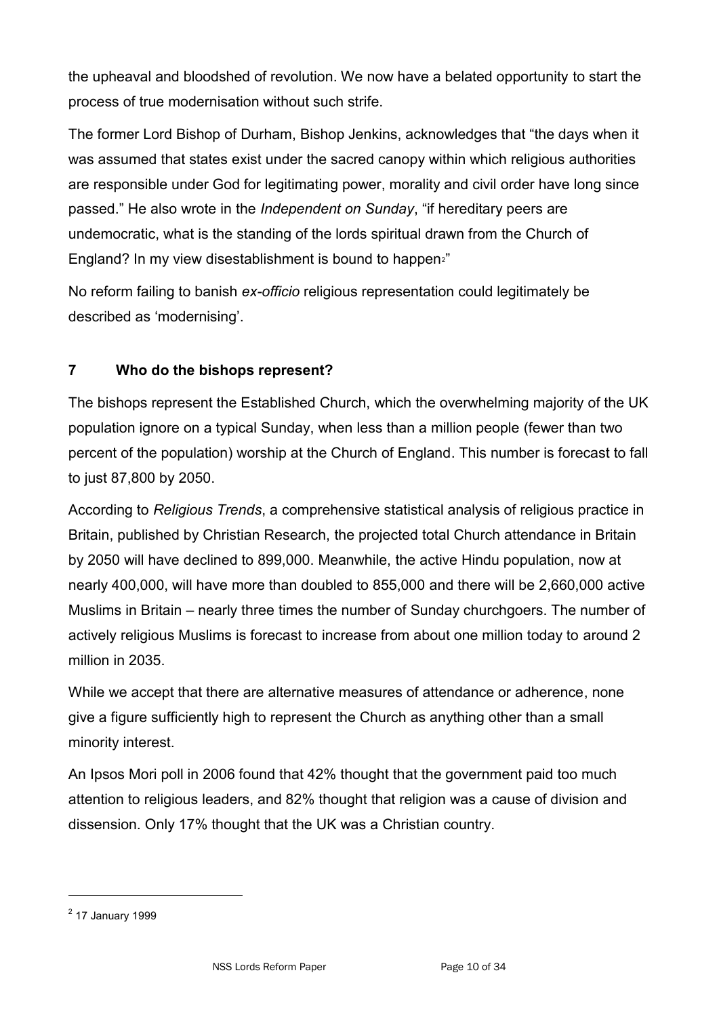the upheaval and bloodshed of revolution. We now have a belated opportunity to start the process of true modernisation without such strife.

The former Lord Bishop of Durham, Bishop Jenkins, acknowledges that "the days when it was assumed that states exist under the sacred canopy within which religious authorities are responsible under God for legitimating power, morality and civil order have long since passed." He also wrote in the *Independent on Sunday*, "if hereditary peers are undemocratic, what is the standing of the lords spiritual drawn from the Church of England? In my view disestablishment is bound to happen<sup>2</sup>"

No reform failing to banish *ex-officio* religious representation could legitimately be described as 'modernising'.

## **7 Who do the bishops represent?**

The bishops represent the Established Church, which the overwhelming majority of the UK population ignore on a typical Sunday, when less than a million people (fewer than two percent of the population) worship at the Church of England. This number is forecast to fall to just 87,800 by 2050.

According to *Religious Trends*, a comprehensive statistical analysis of religious practice in Britain, published by Christian Research, the projected total Church attendance in Britain by 2050 will have declined to 899,000. Meanwhile, the active Hindu population, now at nearly 400,000, will have more than doubled to 855,000 and there will be 2,660,000 active Muslims in Britain – nearly three times the number of Sunday churchgoers. The number of actively religious Muslims is forecast to increase from about one million today to around 2 million in 2035.

While we accept that there are alternative measures of attendance or adherence, none give a figure sufficiently high to represent the Church as anything other than a small minority interest.

An Ipsos Mori poll in 2006 found that 42% thought that the government paid too much attention to religious leaders, and 82% thought that religion was a cause of division and dissension. Only 17% thought that the UK was a Christian country.

<sup>&</sup>lt;sup>2</sup> 17 January 1999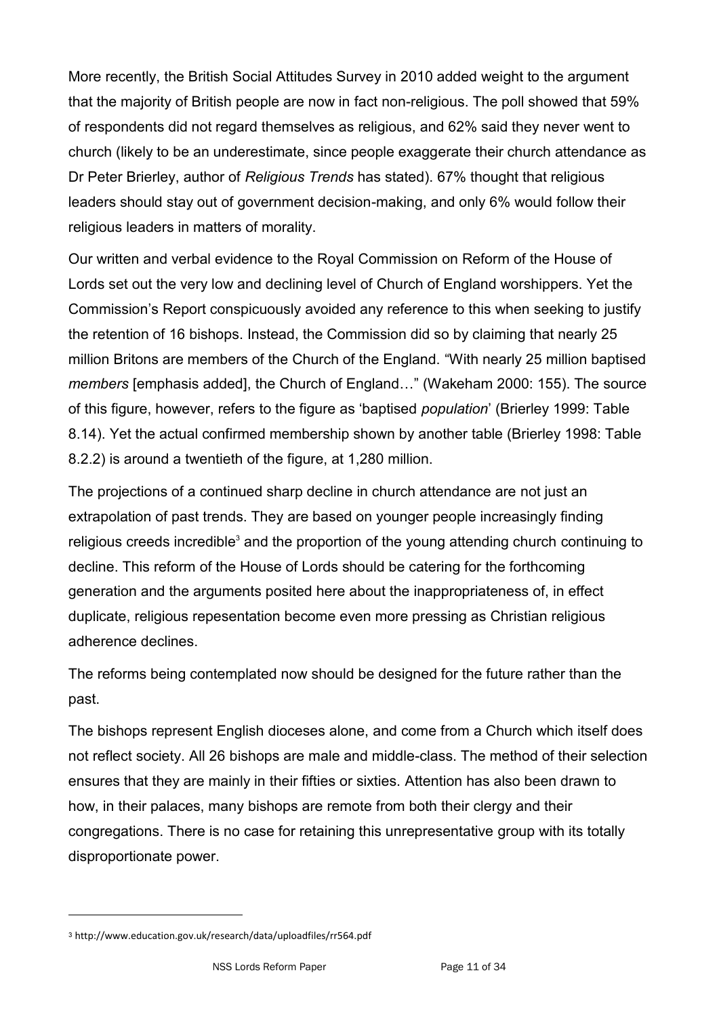More recently, the British Social Attitudes Survey in 2010 added weight to the argument that the majority of British people are now in fact non-religious. The poll showed that 59% of respondents did not regard themselves as religious, and 62% said they never went to church (likely to be an underestimate, since people exaggerate their church attendance as Dr Peter Brierley, author of *Religious Trends* has stated). 67% thought that religious leaders should stay out of government decision-making, and only 6% would follow their religious leaders in matters of morality.

Our written and verbal evidence to the Royal Commission on Reform of the House of Lords set out the very low and declining level of Church of England worshippers. Yet the Commission's Report conspicuously avoided any reference to this when seeking to justify the retention of 16 bishops. Instead, the Commission did so by claiming that nearly 25 million Britons are members of the Church of the England. "With nearly 25 million baptised *members* [emphasis added], the Church of England..." (Wakeham 2000: 155). The source of this figure, however, refers to the figure as 'baptised *population*' (Brierley 1999: Table 8.14). Yet the actual confirmed membership shown by another table (Brierley 1998: Table 8.2.2) is around a twentieth of the figure, at 1,280 million.

The projections of a continued sharp decline in church attendance are not just an extrapolation of past trends. They are based on younger people increasingly finding religious creeds incredible<sup>3</sup> and the proportion of the young attending church continuing to decline. This reform of the House of Lords should be catering for the forthcoming generation and the arguments posited here about the inappropriateness of, in effect duplicate, religious repesentation become even more pressing as Christian religious adherence declines.

The reforms being contemplated now should be designed for the future rather than the past.

The bishops represent English dioceses alone, and come from a Church which itself does not reflect society. All 26 bishops are male and middle-class. The method of their selection ensures that they are mainly in their fifties or sixties. Attention has also been drawn to how, in their palaces, many bishops are remote from both their clergy and their congregations. There is no case for retaining this unrepresentative group with its totally disproportionate power.

<sup>3</sup> http://www.education.gov.uk/research/data/uploadfiles/rr564.pdf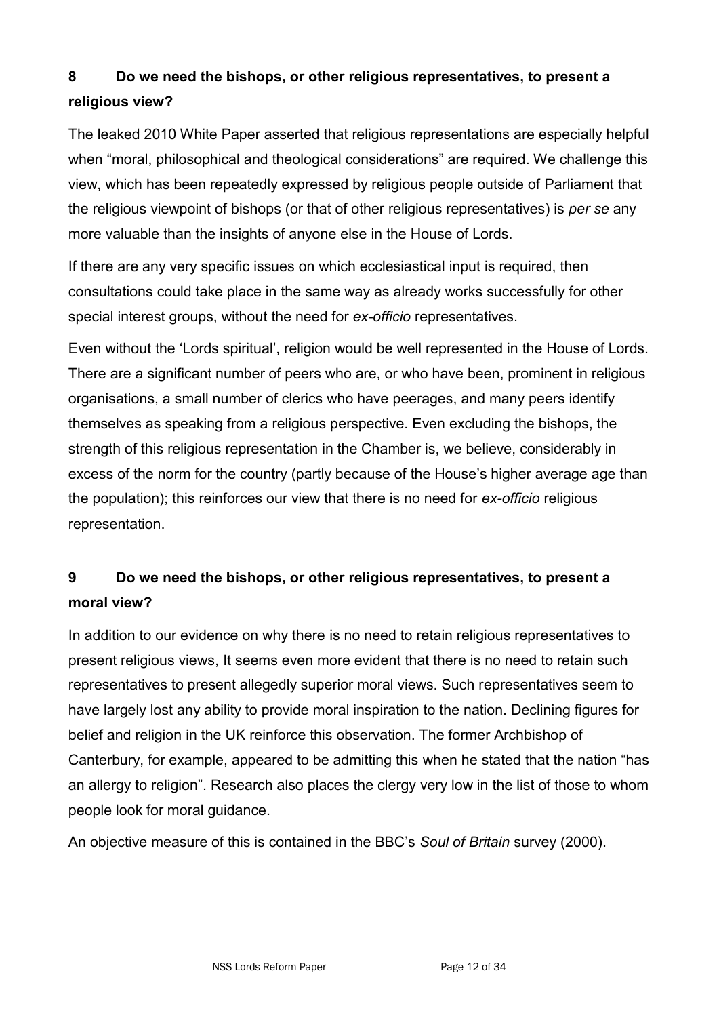## **8 Do we need the bishops, or other religious representatives, to present a religious view?**

The leaked 2010 White Paper asserted that religious representations are especially helpful when "moral, philosophical and theological considerations" are required. We challenge this view, which has been repeatedly expressed by religious people outside of Parliament that the religious viewpoint of bishops (or that of other religious representatives) is *per se* any more valuable than the insights of anyone else in the House of Lords.

If there are any very specific issues on which ecclesiastical input is required, then consultations could take place in the same way as already works successfully for other special interest groups, without the need for *ex-officio* representatives.

Even without the ‗Lords spiritual', religion would be well represented in the House of Lords. There are a significant number of peers who are, or who have been, prominent in religious organisations, a small number of clerics who have peerages, and many peers identify themselves as speaking from a religious perspective. Even excluding the bishops, the strength of this religious representation in the Chamber is, we believe, considerably in excess of the norm for the country (partly because of the House's higher average age than the population); this reinforces our view that there is no need for *ex-officio* religious representation.

## **9 Do we need the bishops, or other religious representatives, to present a moral view?**

In addition to our evidence on why there is no need to retain religious representatives to present religious views, It seems even more evident that there is no need to retain such representatives to present allegedly superior moral views. Such representatives seem to have largely lost any ability to provide moral inspiration to the nation. Declining figures for belief and religion in the UK reinforce this observation. The former Archbishop of Canterbury, for example, appeared to be admitting this when he stated that the nation "has an allergy to religion". Research also places the clergy very low in the list of those to whom people look for moral guidance.

An objective measure of this is contained in the BBC's *Soul of Britain* survey (2000).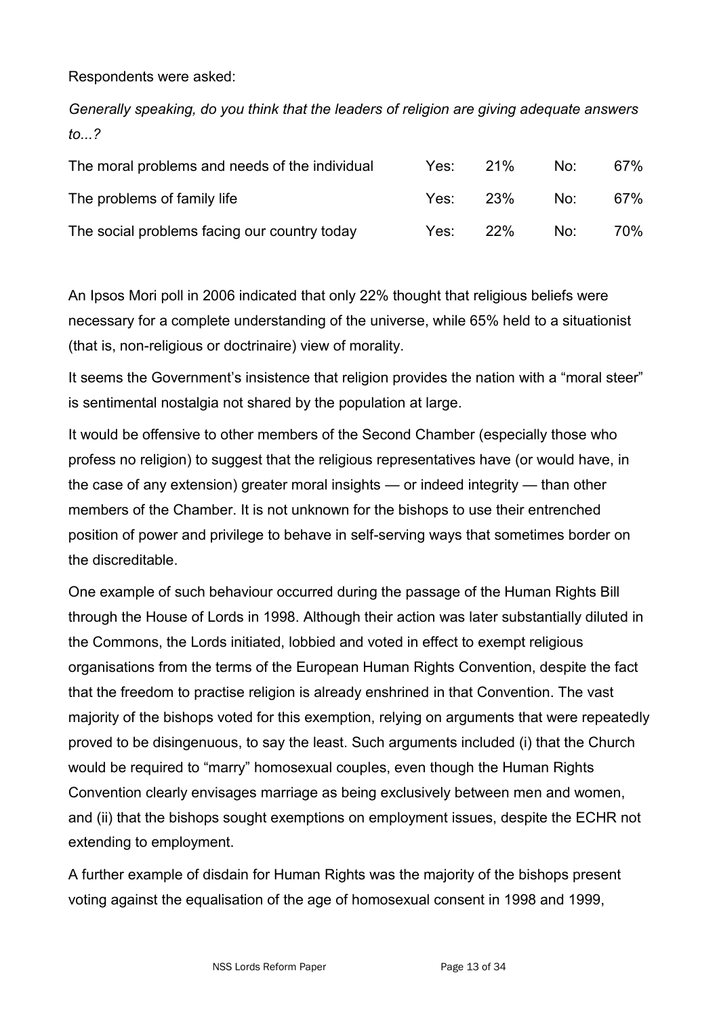Respondents were asked:

*Generally speaking, do you think that the leaders of religion are giving adequate answers to...?*

| The moral problems and needs of the individual | Yes: I | 21%        | No. | 67% |
|------------------------------------------------|--------|------------|-----|-----|
| The problems of family life                    | Yes:   | -23%       | No∵ | 67% |
| The social problems facing our country today   | Yes:   | <b>22%</b> | No: | 70% |

An Ipsos Mori poll in 2006 indicated that only 22% thought that religious beliefs were necessary for a complete understanding of the universe, while 65% held to a situationist (that is, non-religious or doctrinaire) view of morality.

It seems the Government's insistence that religion provides the nation with a "moral steer" is sentimental nostalgia not shared by the population at large.

It would be offensive to other members of the Second Chamber (especially those who profess no religion) to suggest that the religious representatives have (or would have, in the case of any extension) greater moral insights — or indeed integrity — than other members of the Chamber. It is not unknown for the bishops to use their entrenched position of power and privilege to behave in self-serving ways that sometimes border on the discreditable.

One example of such behaviour occurred during the passage of the Human Rights Bill through the House of Lords in 1998. Although their action was later substantially diluted in the Commons, the Lords initiated, lobbied and voted in effect to exempt religious organisations from the terms of the European Human Rights Convention, despite the fact that the freedom to practise religion is already enshrined in that Convention. The vast majority of the bishops voted for this exemption, relying on arguments that were repeatedly proved to be disingenuous, to say the least. Such arguments included (i) that the Church would be required to "marry" homosexual couples, even though the Human Rights Convention clearly envisages marriage as being exclusively between men and women, and (ii) that the bishops sought exemptions on employment issues, despite the ECHR not extending to employment.

A further example of disdain for Human Rights was the majority of the bishops present voting against the equalisation of the age of homosexual consent in 1998 and 1999,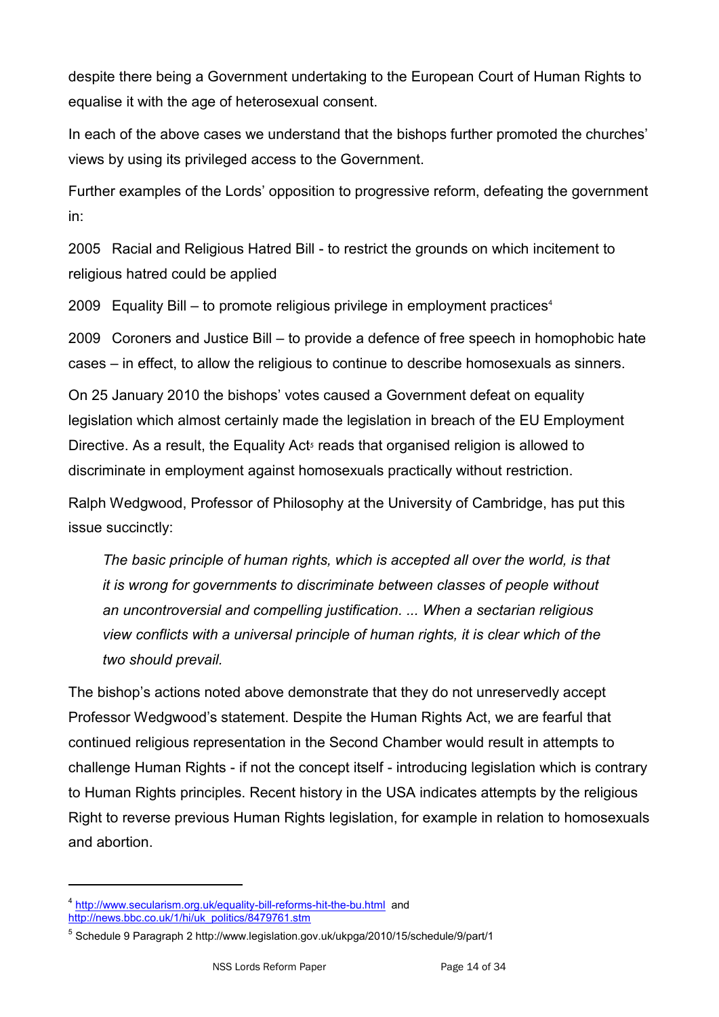despite there being a Government undertaking to the European Court of Human Rights to equalise it with the age of heterosexual consent.

In each of the above cases we understand that the bishops further promoted the churches' views by using its privileged access to the Government.

Further examples of the Lords' opposition to progressive reform, defeating the government in:

2005 Racial and Religious Hatred Bill - to restrict the grounds on which incitement to religious hatred could be applied

2009 Equality Bill – to promote religious privilege in employment practices<sup>4</sup>

2009 Coroners and Justice Bill – to provide a defence of free speech in homophobic hate cases – in effect, to allow the religious to continue to describe homosexuals as sinners.

On 25 January 2010 the bishops' votes caused a Government defeat on equality legislation which almost certainly made the legislation in breach of the EU Employment Directive. As a result, the Equality Acts reads that organised religion is allowed to discriminate in employment against homosexuals practically without restriction.

Ralph Wedgwood, Professor of Philosophy at the University of Cambridge, has put this issue succinctly:

*The basic principle of human rights, which is accepted all over the world, is that it is wrong for governments to discriminate between classes of people without an uncontroversial and compelling justification. ... When a sectarian religious view conflicts with a universal principle of human rights, it is clear which of the two should prevail.*

The bishop's actions noted above demonstrate that they do not unreservedly accept Professor Wedgwood's statement. Despite the Human Rights Act, we are fearful that continued religious representation in the Second Chamber would result in attempts to challenge Human Rights - if not the concept itself - introducing legislation which is contrary to Human Rights principles. Recent history in the USA indicates attempts by the religious Right to reverse previous Human Rights legislation, for example in relation to homosexuals and abortion.

<sup>&</sup>lt;sup>4</sup> <http://www.secularism.org.uk/equality-bill-reforms-hit-the-bu.html>and [http://news.bbc.co.uk/1/hi/uk\\_politics/8479761.stm](http://news.bbc.co.uk/1/hi/uk_politics/8479761.stm)

<sup>&</sup>lt;sup>5</sup> Schedule 9 Paragraph 2 http://www.legislation.gov.uk/ukpga/2010/15/schedule/9/part/1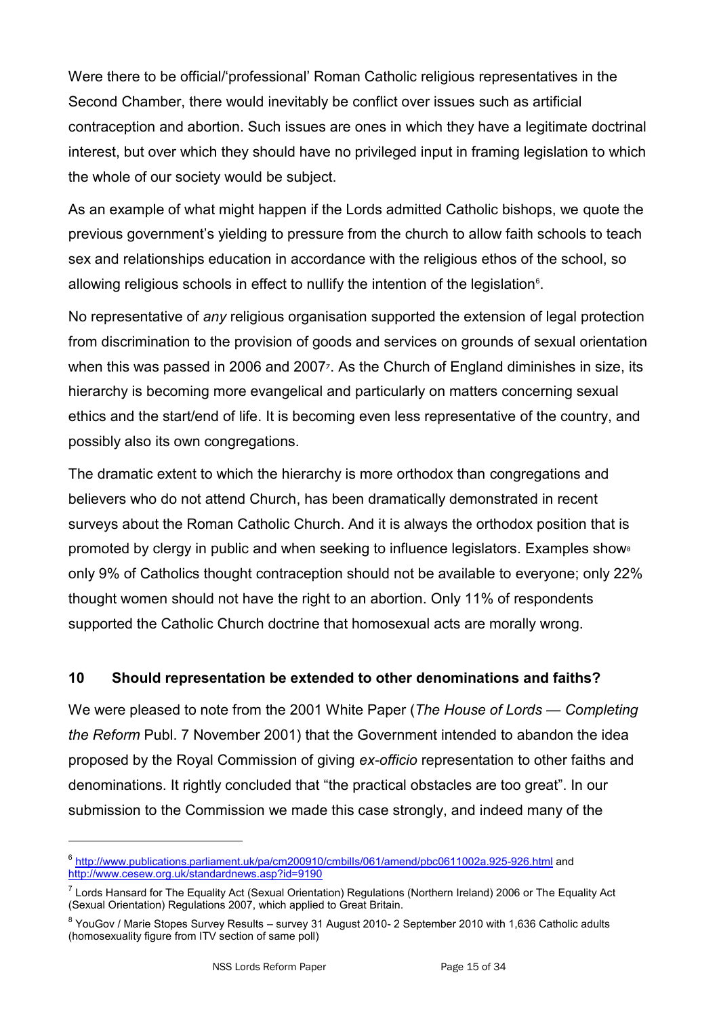Were there to be official/'professional' Roman Catholic religious representatives in the Second Chamber, there would inevitably be conflict over issues such as artificial contraception and abortion. Such issues are ones in which they have a legitimate doctrinal interest, but over which they should have no privileged input in framing legislation to which the whole of our society would be subject.

As an example of what might happen if the Lords admitted Catholic bishops, we quote the previous government's yielding to pressure from the church to allow faith schools to teach sex and relationships education in accordance with the religious ethos of the school, so allowing religious schools in effect to nullify the intention of the legislation $6$ .

No representative of *any* religious organisation supported the extension of legal protection from discrimination to the provision of goods and services on grounds of sexual orientation when this was passed in 2006 and 2007<sup>7</sup>. As the Church of England diminishes in size, its hierarchy is becoming more evangelical and particularly on matters concerning sexual ethics and the start/end of life. It is becoming even less representative of the country, and possibly also its own congregations.

The dramatic extent to which the hierarchy is more orthodox than congregations and believers who do not attend Church, has been dramatically demonstrated in recent surveys about the Roman Catholic Church. And it is always the orthodox position that is promoted by clergy in public and when seeking to influence legislators. Examples show<sup>8</sup> only 9% of Catholics thought contraception should not be available to everyone; only 22% thought women should not have the right to an abortion. Only 11% of respondents supported the Catholic Church doctrine that homosexual acts are morally wrong.

### **10 Should representation be extended to other denominations and faiths?**

We were pleased to note from the 2001 White Paper (*The House of Lords — Completing the Reform* Publ. 7 November 2001) that the Government intended to abandon the idea proposed by the Royal Commission of giving *ex-officio* representation to other faiths and denominations. It rightly concluded that "the practical obstacles are too great". In our submission to the Commission we made this case strongly, and indeed many of the

<sup>&</sup>lt;sup>6</sup> <http://www.publications.parliament.uk/pa/cm200910/cmbills/061/amend/pbc0611002a.925-926.html> and <http://www.cesew.org.uk/standardnews.asp?id=9190>

<sup>&</sup>lt;sup>7</sup> Lords Hansard for The Equality Act (Sexual Orientation) Regulations (Northern Ireland) 2006 or The Equality Act (Sexual Orientation) Regulations 2007, which applied to Great Britain.

<sup>&</sup>lt;sup>8</sup> YouGov / Marie Stopes Survey Results – survey 31 August 2010- 2 September 2010 with 1,636 Catholic adults (homosexuality figure from ITV section of same poll)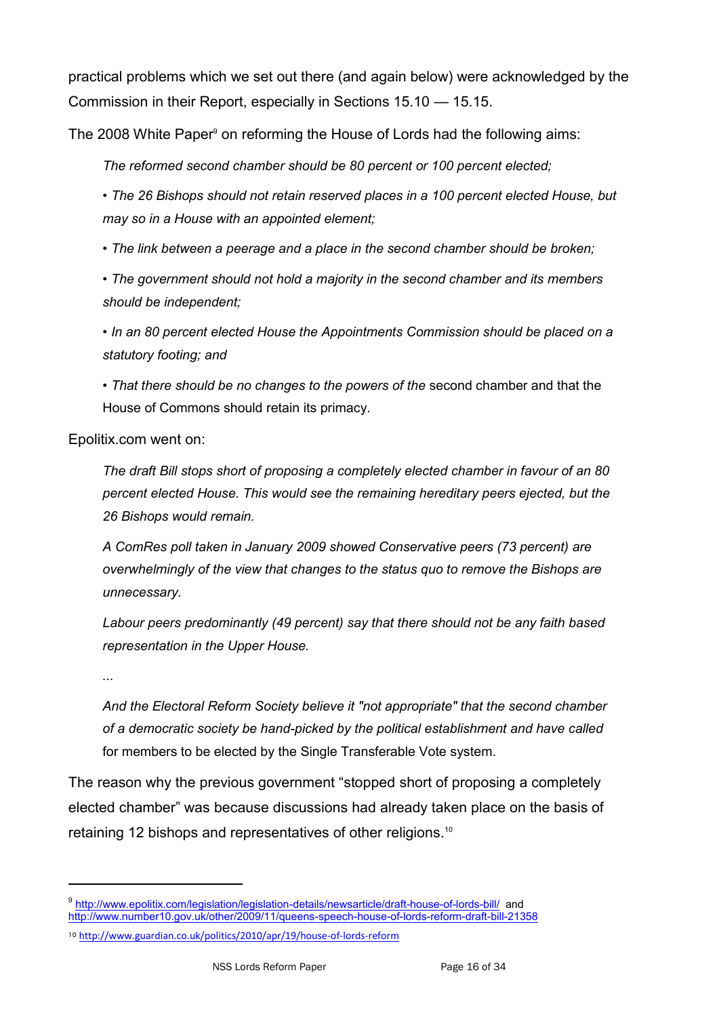practical problems which we set out there (and again below) were acknowledged by the Commission in their Report, especially in Sections 15.10 — 15.15.

The 2008 White Paper<sup>9</sup> on reforming the House of Lords had the following aims:

*The reformed second chamber should be 80 percent or 100 percent elected;*

*• The 26 Bishops should not retain reserved places in a 100 percent elected House, but may so in a House with an appointed element;*

*• The link between a peerage and a place in the second chamber should be broken;*

*• The government should not hold a majority in the second chamber and its members should be independent;*

*• In an 80 percent elected House the Appointments Commission should be placed on a statutory footing; and*

*• That there should be no changes to the powers of the* second chamber and that the House of Commons should retain its primacy.

Epolitix.com went on:

*The draft Bill stops short of proposing a completely elected chamber in favour of an 80 percent elected House. This would see the remaining hereditary peers ejected, but the 26 Bishops would remain.*

*A ComRes poll taken in January 2009 showed Conservative peers (73 percent) are overwhelmingly of the view that changes to the status quo to remove the Bishops are unnecessary.*

*Labour peers predominantly (49 percent) say that there should not be any faith based representation in the Upper House.*

*...*

-

*And the Electoral Reform Society believe it "not appropriate" that the second chamber of a democratic society be hand-picked by the political establishment and have called* for members to be elected by the Single Transferable Vote system.

The reason why the previous government "stopped short of proposing a completely elected chamber" was because discussions had already taken place on the basis of retaining 12 bishops and representatives of other religions.<sup>10</sup>

<sup>9</sup> <http://www.epolitix.com/legislation/legislation-details/newsarticle/draft-house-of-lords-bill/>and <http://www.number10.gov.uk/other/2009/11/queens-speech-house-of-lords-reform-draft-bill-21358>

<sup>10</sup> <http://www.guardian.co.uk/politics/2010/apr/19/house-of-lords-reform>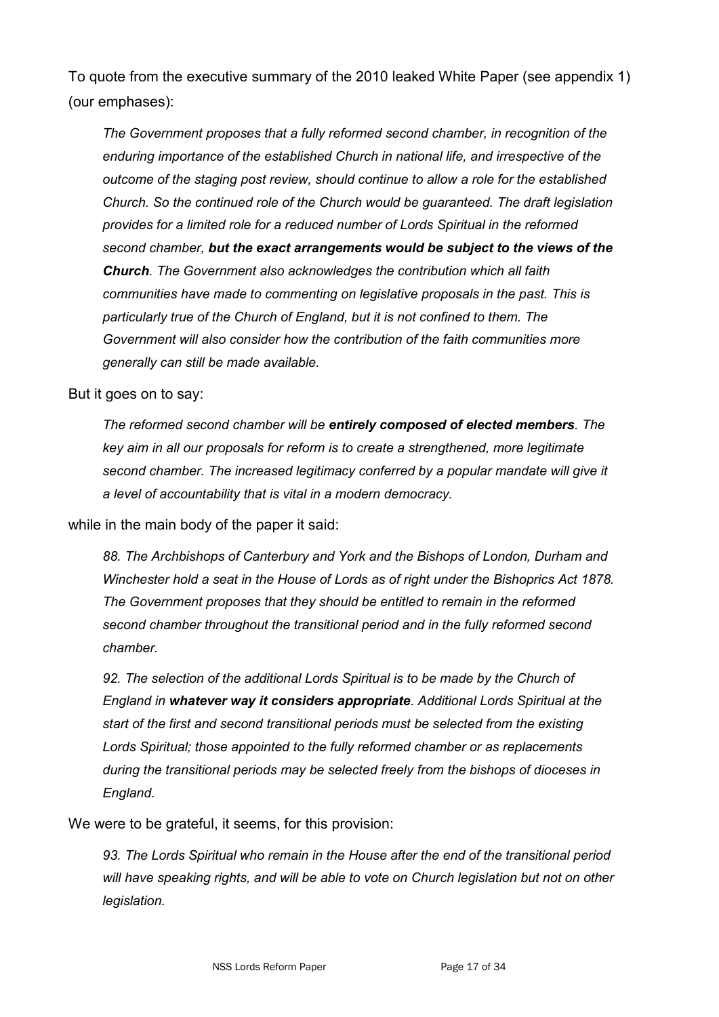To quote from the executive summary of the 2010 leaked White Paper (see appendix 1) (our emphases):

*The Government proposes that a fully reformed second chamber, in recognition of the enduring importance of the established Church in national life, and irrespective of the outcome of the staging post review, should continue to allow a role for the established Church. So the continued role of the Church would be guaranteed. The draft legislation provides for a limited role for a reduced number of Lords Spiritual in the reformed second chamber, but the exact arrangements would be subject to the views of the Church. The Government also acknowledges the contribution which all faith communities have made to commenting on legislative proposals in the past. This is particularly true of the Church of England, but it is not confined to them. The Government will also consider how the contribution of the faith communities more generally can still be made available.* 

But it goes on to say:

*The reformed second chamber will be entirely composed of elected members. The key aim in all our proposals for reform is to create a strengthened, more legitimate* second chamber. The increased legitimacy conferred by a popular mandate will give it *a level of accountability that is vital in a modern democracy.*

while in the main body of the paper it said:

*88. The Archbishops of Canterbury and York and the Bishops of London, Durham and Winchester hold a seat in the House of Lords as of right under the Bishoprics Act 1878. The Government proposes that they should be entitled to remain in the reformed second chamber throughout the transitional period and in the fully reformed second chamber.* 

92. The selection of the additional Lords Spiritual is to be made by the Church of *England in whatever way it considers appropriate. Additional Lords Spiritual at the start of the first and second transitional periods must be selected from the existing Lords Spiritual; those appointed to the fully reformed chamber or as replacements during the transitional periods may be selected freely from the bishops of dioceses in England.* 

We were to be grateful, it seems, for this provision:

*93. The Lords Spiritual who remain in the House after the end of the transitional period will have speaking rights, and will be able to vote on Church legislation but not on other legislation.*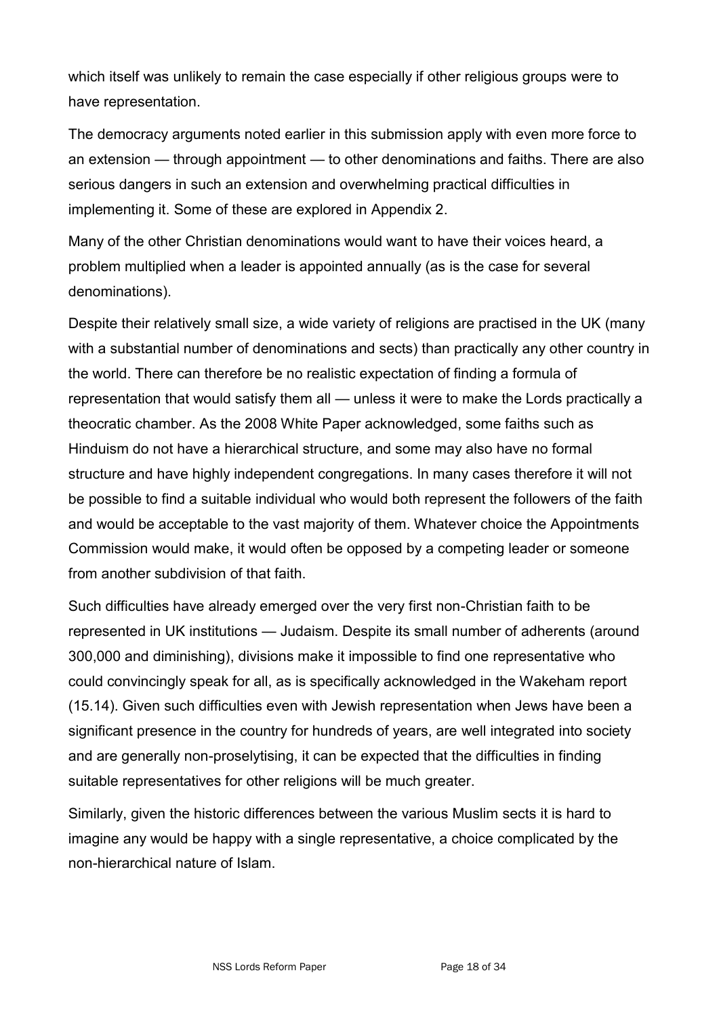which itself was unlikely to remain the case especially if other religious groups were to have representation.

The democracy arguments noted earlier in this submission apply with even more force to an extension — through appointment — to other denominations and faiths. There are also serious dangers in such an extension and overwhelming practical difficulties in implementing it. Some of these are explored in Appendix 2.

Many of the other Christian denominations would want to have their voices heard, a problem multiplied when a leader is appointed annually (as is the case for several denominations).

Despite their relatively small size, a wide variety of religions are practised in the UK (many with a substantial number of denominations and sects) than practically any other country in the world. There can therefore be no realistic expectation of finding a formula of representation that would satisfy them all — unless it were to make the Lords practically a theocratic chamber. As the 2008 White Paper acknowledged, some faiths such as Hinduism do not have a hierarchical structure, and some may also have no formal structure and have highly independent congregations. In many cases therefore it will not be possible to find a suitable individual who would both represent the followers of the faith and would be acceptable to the vast majority of them. Whatever choice the Appointments Commission would make, it would often be opposed by a competing leader or someone from another subdivision of that faith.

Such difficulties have already emerged over the very first non-Christian faith to be represented in UK institutions — Judaism. Despite its small number of adherents (around 300,000 and diminishing), divisions make it impossible to find one representative who could convincingly speak for all, as is specifically acknowledged in the Wakeham report (15.14). Given such difficulties even with Jewish representation when Jews have been a significant presence in the country for hundreds of years, are well integrated into society and are generally non-proselytising, it can be expected that the difficulties in finding suitable representatives for other religions will be much greater.

Similarly, given the historic differences between the various Muslim sects it is hard to imagine any would be happy with a single representative, a choice complicated by the non-hierarchical nature of Islam.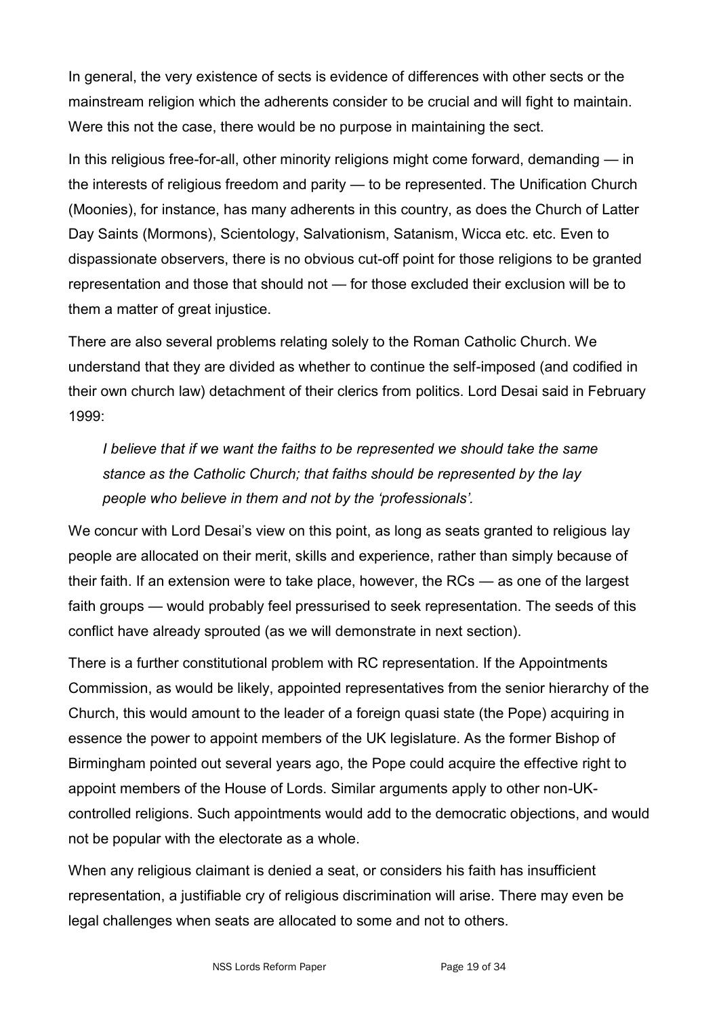In general, the very existence of sects is evidence of differences with other sects or the mainstream religion which the adherents consider to be crucial and will fight to maintain. Were this not the case, there would be no purpose in maintaining the sect.

In this religious free-for-all, other minority religions might come forward, demanding — in the interests of religious freedom and parity — to be represented. The Unification Church (Moonies), for instance, has many adherents in this country, as does the Church of Latter Day Saints (Mormons), Scientology, Salvationism, Satanism, Wicca etc. etc. Even to dispassionate observers, there is no obvious cut-off point for those religions to be granted representation and those that should not — for those excluded their exclusion will be to them a matter of great injustice.

There are also several problems relating solely to the Roman Catholic Church. We understand that they are divided as whether to continue the self-imposed (and codified in their own church law) detachment of their clerics from politics. Lord Desai said in February 1999:

*I* believe that if we want the faiths to be represented we should take the same *stance as the Catholic Church; that faiths should be represented by the lay people who believe in them and not by the "professionals".*

We concur with Lord Desai's view on this point, as long as seats granted to religious lay people are allocated on their merit, skills and experience, rather than simply because of their faith. If an extension were to take place, however, the RCs — as one of the largest faith groups — would probably feel pressurised to seek representation. The seeds of this conflict have already sprouted (as we will demonstrate in next section).

There is a further constitutional problem with RC representation. If the Appointments Commission, as would be likely, appointed representatives from the senior hierarchy of the Church, this would amount to the leader of a foreign quasi state (the Pope) acquiring in essence the power to appoint members of the UK legislature. As the former Bishop of Birmingham pointed out several years ago, the Pope could acquire the effective right to appoint members of the House of Lords. Similar arguments apply to other non-UKcontrolled religions. Such appointments would add to the democratic objections, and would not be popular with the electorate as a whole.

When any religious claimant is denied a seat, or considers his faith has insufficient representation, a justifiable cry of religious discrimination will arise. There may even be legal challenges when seats are allocated to some and not to others.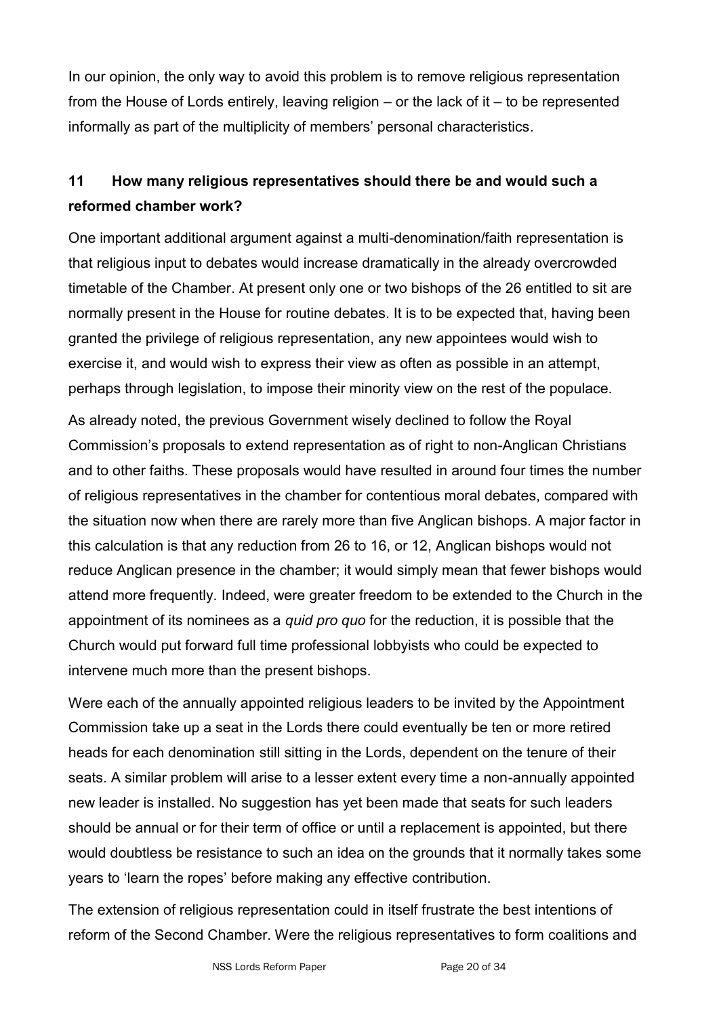In our opinion, the only way to avoid this problem is to remove religious representation from the House of Lords entirely, leaving religion – or the lack of it – to be represented informally as part of the multiplicity of members' personal characteristics.

## **11 How many religious representatives should there be and would such a reformed chamber work?**

One important additional argument against a multi-denomination/faith representation is that religious input to debates would increase dramatically in the already overcrowded timetable of the Chamber. At present only one or two bishops of the 26 entitled to sit are normally present in the House for routine debates. It is to be expected that, having been granted the privilege of religious representation, any new appointees would wish to exercise it, and would wish to express their view as often as possible in an attempt, perhaps through legislation, to impose their minority view on the rest of the populace.

As already noted, the previous Government wisely declined to follow the Royal Commission's proposals to extend representation as of right to non-Anglican Christians and to other faiths. These proposals would have resulted in around four times the number of religious representatives in the chamber for contentious moral debates, compared with the situation now when there are rarely more than five Anglican bishops. A major factor in this calculation is that any reduction from 26 to 16, or 12, Anglican bishops would not reduce Anglican presence in the chamber; it would simply mean that fewer bishops would attend more frequently. Indeed, were greater freedom to be extended to the Church in the appointment of its nominees as a *quid pro quo* for the reduction, it is possible that the Church would put forward full time professional lobbyists who could be expected to intervene much more than the present bishops.

Were each of the annually appointed religious leaders to be invited by the Appointment Commission take up a seat in the Lords there could eventually be ten or more retired heads for each denomination still sitting in the Lords, dependent on the tenure of their seats. A similar problem will arise to a lesser extent every time a non-annually appointed new leader is installed. No suggestion has yet been made that seats for such leaders should be annual or for their term of office or until a replacement is appointed, but there would doubtless be resistance to such an idea on the grounds that it normally takes some years to 'learn the ropes' before making any effective contribution.

The extension of religious representation could in itself frustrate the best intentions of reform of the Second Chamber. Were the religious representatives to form coalitions and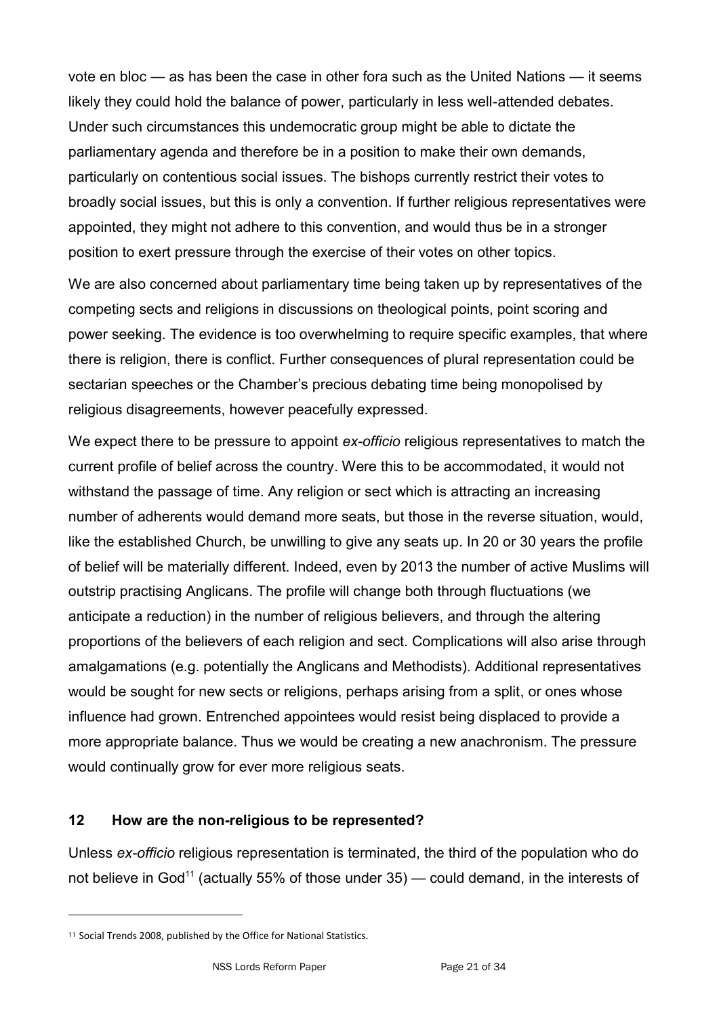vote en bloc — as has been the case in other fora such as the United Nations — it seems likely they could hold the balance of power, particularly in less well-attended debates. Under such circumstances this undemocratic group might be able to dictate the parliamentary agenda and therefore be in a position to make their own demands, particularly on contentious social issues. The bishops currently restrict their votes to broadly social issues, but this is only a convention. If further religious representatives were appointed, they might not adhere to this convention, and would thus be in a stronger position to exert pressure through the exercise of their votes on other topics.

We are also concerned about parliamentary time being taken up by representatives of the competing sects and religions in discussions on theological points, point scoring and power seeking. The evidence is too overwhelming to require specific examples, that where there is religion, there is conflict. Further consequences of plural representation could be sectarian speeches or the Chamber's precious debating time being monopolised by religious disagreements, however peacefully expressed.

We expect there to be pressure to appoint *ex-officio* religious representatives to match the current profile of belief across the country. Were this to be accommodated, it would not withstand the passage of time. Any religion or sect which is attracting an increasing number of adherents would demand more seats, but those in the reverse situation, would, like the established Church, be unwilling to give any seats up. In 20 or 30 years the profile of belief will be materially different. Indeed, even by 2013 the number of active Muslims will outstrip practising Anglicans. The profile will change both through fluctuations (we anticipate a reduction) in the number of religious believers, and through the altering proportions of the believers of each religion and sect. Complications will also arise through amalgamations (e.g. potentially the Anglicans and Methodists). Additional representatives would be sought for new sects or religions, perhaps arising from a split, or ones whose influence had grown. Entrenched appointees would resist being displaced to provide a more appropriate balance. Thus we would be creating a new anachronism. The pressure would continually grow for ever more religious seats.

#### **12 How are the non-religious to be represented?**

Unless *ex-officio* religious representation is terminated, the third of the population who do not believe in God<sup>11</sup> (actually 55% of those under  $35$ ) — could demand, in the interests of

<sup>11</sup> Social Trends 2008, published by the Office for National Statistics.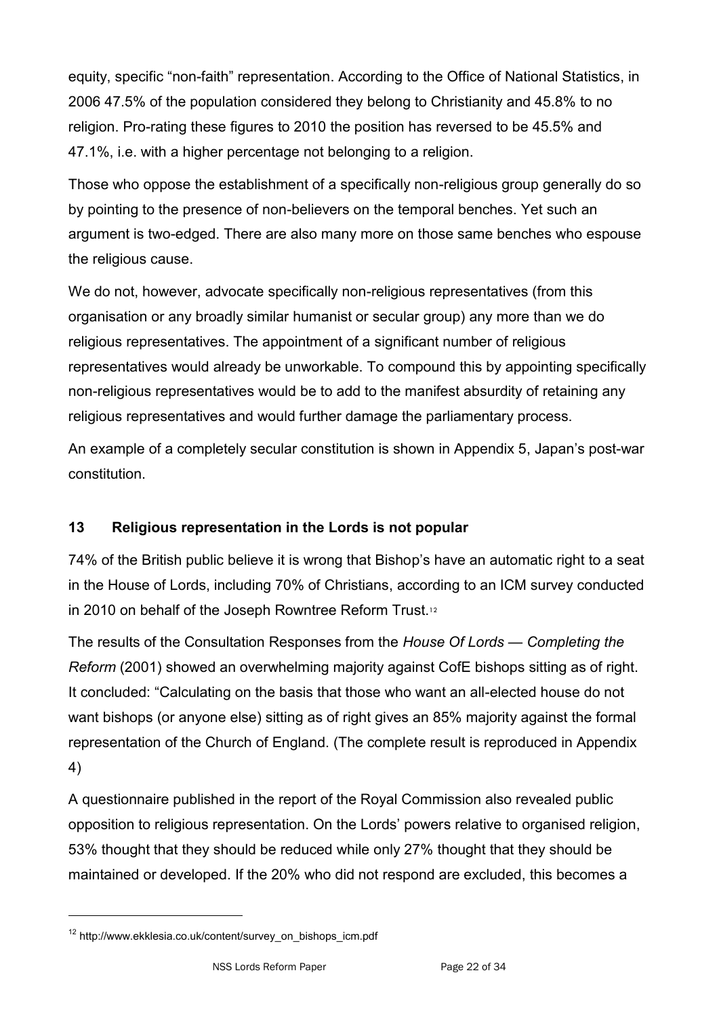equity, specific "non-faith" representation. According to the Office of National Statistics, in 2006 47.5% of the population considered they belong to Christianity and 45.8% to no religion. Pro-rating these figures to 2010 the position has reversed to be 45.5% and 47.1%, i.e. with a higher percentage not belonging to a religion.

Those who oppose the establishment of a specifically non-religious group generally do so by pointing to the presence of non-believers on the temporal benches. Yet such an argument is two-edged. There are also many more on those same benches who espouse the religious cause.

We do not, however, advocate specifically non-religious representatives (from this organisation or any broadly similar humanist or secular group) any more than we do religious representatives. The appointment of a significant number of religious representatives would already be unworkable. To compound this by appointing specifically non-religious representatives would be to add to the manifest absurdity of retaining any religious representatives and would further damage the parliamentary process.

An example of a completely secular constitution is shown in Appendix 5, Japan's post-war constitution.

## **13 Religious representation in the Lords is not popular**

74% of the British public believe it is wrong that Bishop's have an automatic right to a seat in the House of Lords, including 70% of Christians, according to an ICM survey conducted in 2010 on behalf of the Joseph Rowntree Reform Trust.<sup>12</sup>

The results of the Consultation Responses from the *House Of Lords — Completing the Reform* (2001) showed an overwhelming majority against CofE bishops sitting as of right. It concluded: "Calculating on the basis that those who want an all-elected house do not want bishops (or anyone else) sitting as of right gives an 85% majority against the formal representation of the Church of England. (The complete result is reproduced in Appendix 4)

A questionnaire published in the report of the Royal Commission also revealed public opposition to religious representation. On the Lords' powers relative to organised religion, 53% thought that they should be reduced while only 27% thought that they should be maintained or developed. If the 20% who did not respond are excluded, this becomes a

<sup>12</sup> http://www.ekklesia.co.uk/content/survey\_on\_bishops\_icm.pdf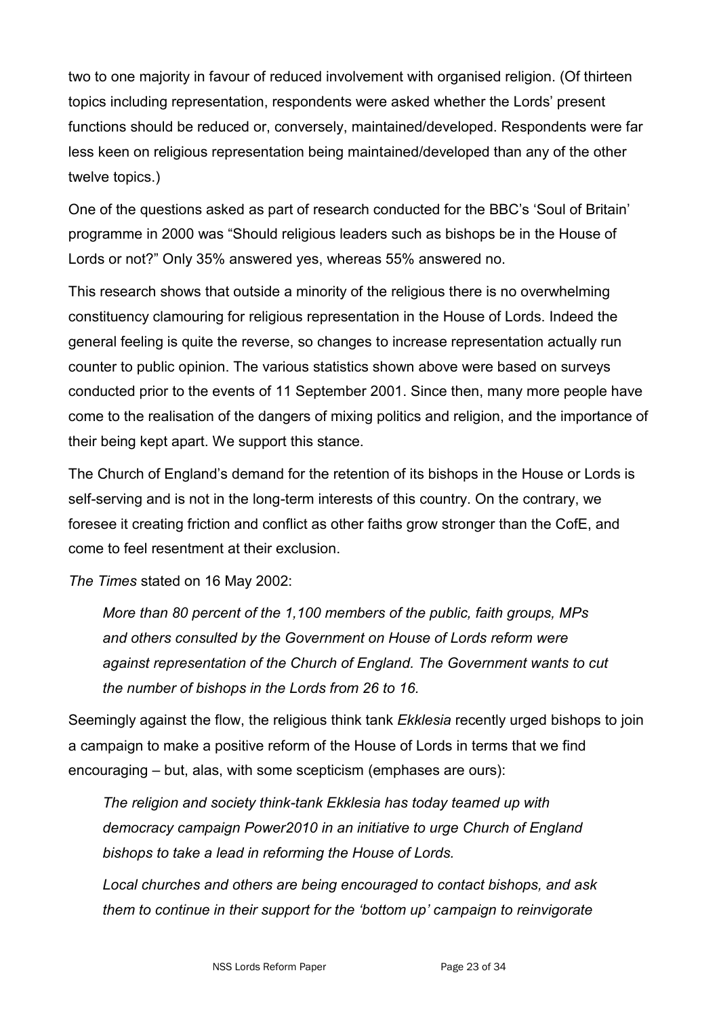two to one majority in favour of reduced involvement with organised religion. (Of thirteen topics including representation, respondents were asked whether the Lords' present functions should be reduced or, conversely, maintained/developed. Respondents were far less keen on religious representation being maintained/developed than any of the other twelve topics.)

One of the questions asked as part of research conducted for the BBC's 'Soul of Britain' programme in 2000 was "Should religious leaders such as bishops be in the House of Lords or not?" Only 35% answered yes, whereas 55% answered no.

This research shows that outside a minority of the religious there is no overwhelming constituency clamouring for religious representation in the House of Lords. Indeed the general feeling is quite the reverse, so changes to increase representation actually run counter to public opinion. The various statistics shown above were based on surveys conducted prior to the events of 11 September 2001. Since then, many more people have come to the realisation of the dangers of mixing politics and religion, and the importance of their being kept apart. We support this stance.

The Church of England's demand for the retention of its bishops in the House or Lords is self-serving and is not in the long-term interests of this country. On the contrary, we foresee it creating friction and conflict as other faiths grow stronger than the CofE, and come to feel resentment at their exclusion.

*The Times* stated on 16 May 2002:

*More than 80 percent of the 1,100 members of the public, faith groups, MPs and others consulted by the Government on House of Lords reform were against representation of the Church of England. The Government wants to cut the number of bishops in the Lords from 26 to 16.*

Seemingly against the flow, the religious think tank *Ekklesia* recently urged bishops to join a campaign to make a positive reform of the House of Lords in terms that we find encouraging – but, alas, with some scepticism (emphases are ours):

*The religion and society think-tank Ekklesia has today teamed up with democracy campaign Power2010 in an initiative to urge Church of England bishops to take a lead in reforming the House of Lords.*

*Local churches and others are being encouraged to contact bishops, and ask them to continue in their support for the "bottom up" campaign to reinvigorate*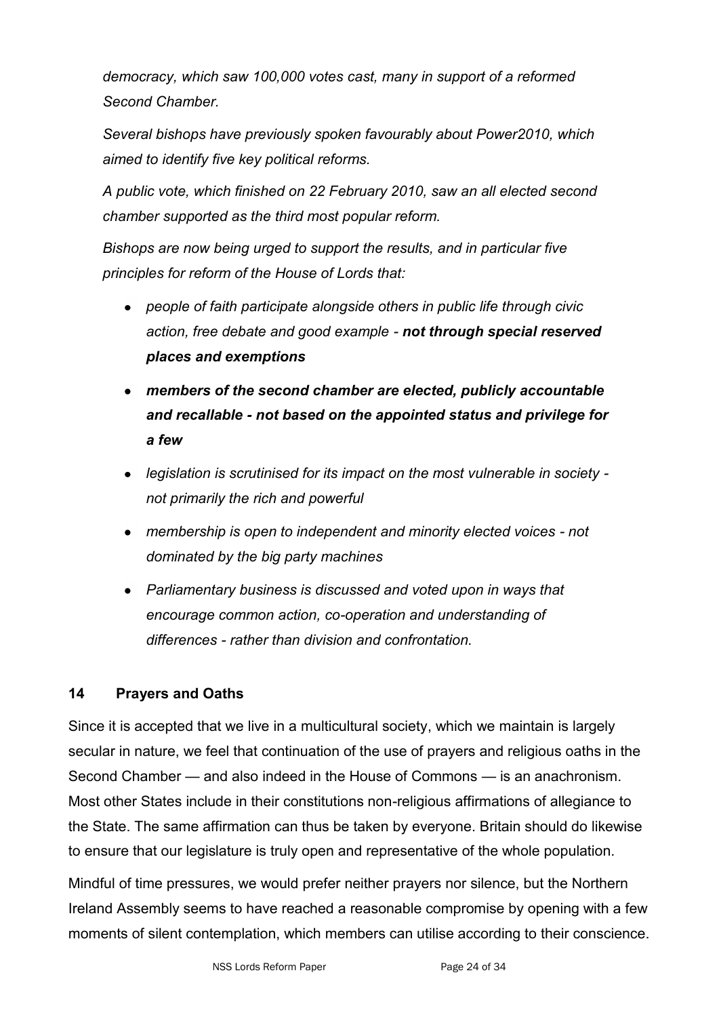*democracy, which saw 100,000 votes cast, many in support of a reformed Second Chamber.*

*Several bishops have previously spoken favourably about Power2010, which aimed to identify five key political reforms.*

*A public vote, which finished on 22 February 2010, saw an all elected second chamber supported as the third most popular reform.*

*Bishops are now being urged to support the results, and in particular five principles for reform of the House of Lords that:*

- *people of faith participate alongside others in public life through civic action, free debate and good example - not through special reserved places and exemptions*
- *members of the second chamber are elected, publicly accountable and recallable - not based on the appointed status and privilege for a few*
- *legislation is scrutinised for its impact on the most vulnerable in society not primarily the rich and powerful*
- *membership is open to independent and minority elected voices - not dominated by the big party machines*
- *Parliamentary business is discussed and voted upon in ways that encourage common action, co-operation and understanding of differences - rather than division and confrontation.*

## **14 Prayers and Oaths**

Since it is accepted that we live in a multicultural society, which we maintain is largely secular in nature, we feel that continuation of the use of prayers and religious oaths in the Second Chamber — and also indeed in the House of Commons — is an anachronism. Most other States include in their constitutions non-religious affirmations of allegiance to the State. The same affirmation can thus be taken by everyone. Britain should do likewise to ensure that our legislature is truly open and representative of the whole population.

Mindful of time pressures, we would prefer neither prayers nor silence, but the Northern Ireland Assembly seems to have reached a reasonable compromise by opening with a few moments of silent contemplation, which members can utilise according to their conscience.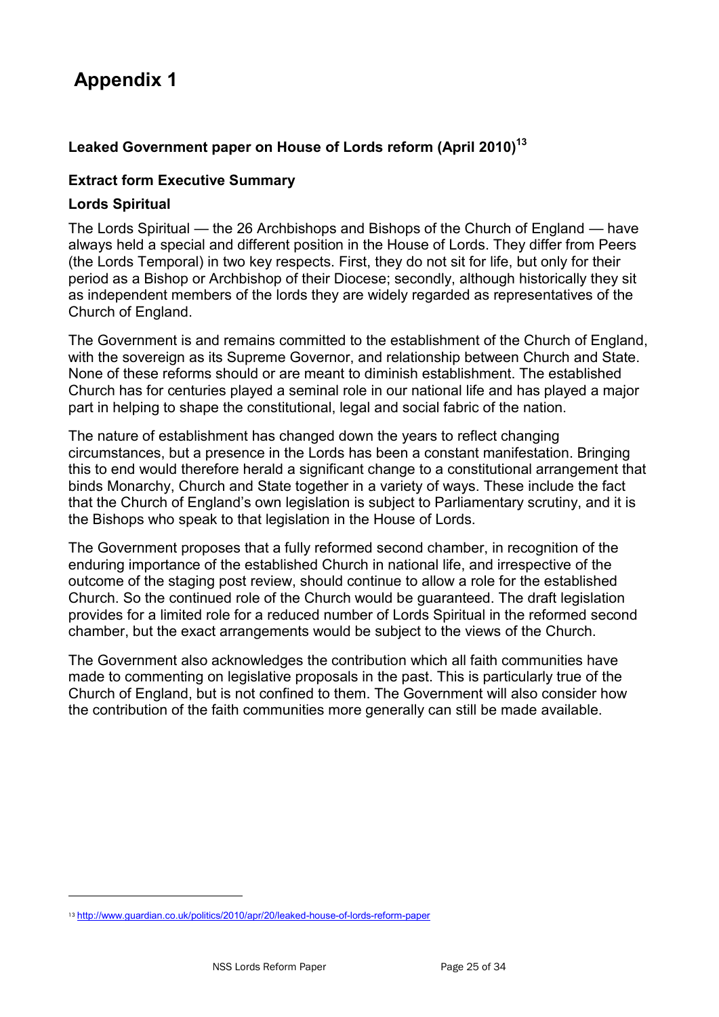#### **Leaked Government paper on House of Lords reform (April 2010)<sup>13</sup>**

#### **Extract form Executive Summary**

#### **Lords Spiritual**

The Lords Spiritual — the 26 Archbishops and Bishops of the Church of England — have always held a special and different position in the House of Lords. They differ from Peers (the Lords Temporal) in two key respects. First, they do not sit for life, but only for their period as a Bishop or Archbishop of their Diocese; secondly, although historically they sit as independent members of the lords they are widely regarded as representatives of the Church of England.

The Government is and remains committed to the establishment of the Church of England, with the sovereign as its Supreme Governor, and relationship between Church and State. None of these reforms should or are meant to diminish establishment. The established Church has for centuries played a seminal role in our national life and has played a major part in helping to shape the constitutional, legal and social fabric of the nation.

The nature of establishment has changed down the years to reflect changing circumstances, but a presence in the Lords has been a constant manifestation. Bringing this to end would therefore herald a significant change to a constitutional arrangement that binds Monarchy, Church and State together in a variety of ways. These include the fact that the Church of England's own legislation is subject to Parliamentary scrutiny, and it is the Bishops who speak to that legislation in the House of Lords.

The Government proposes that a fully reformed second chamber, in recognition of the enduring importance of the established Church in national life, and irrespective of the outcome of the staging post review, should continue to allow a role for the established Church. So the continued role of the Church would be guaranteed. The draft legislation provides for a limited role for a reduced number of Lords Spiritual in the reformed second chamber, but the exact arrangements would be subject to the views of the Church.

The Government also acknowledges the contribution which all faith communities have made to commenting on legislative proposals in the past. This is particularly true of the Church of England, but is not confined to them. The Government will also consider how the contribution of the faith communities more generally can still be made available.

<sup>13</sup> <http://www.guardian.co.uk/politics/2010/apr/20/leaked-house-of-lords-reform-paper>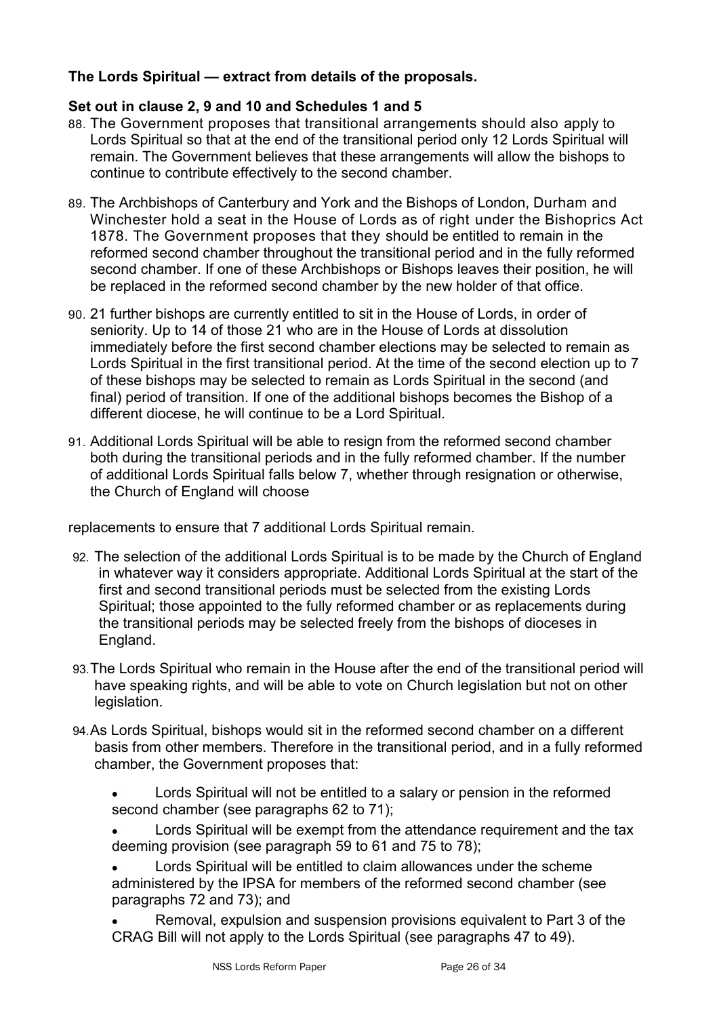#### **The Lords Spiritual — extract from details of the proposals.**

#### **Set out in clause 2, 9 and 10 and Schedules 1 and 5**

- 88. The Government proposes that transitional arrangements should also apply to Lords Spiritual so that at the end of the transitional period only 12 Lords Spiritual will remain. The Government believes that these arrangements will allow the bishops to continue to contribute effectively to the second chamber.
- 89. The Archbishops of Canterbury and York and the Bishops of London, Durham and Winchester hold a seat in the House of Lords as of right under the Bishoprics Act 1878. The Government proposes that they should be entitled to remain in the reformed second chamber throughout the transitional period and in the fully reformed second chamber. If one of these Archbishops or Bishops leaves their position, he will be replaced in the reformed second chamber by the new holder of that office.
- 90. 21 further bishops are currently entitled to sit in the House of Lords, in order of seniority. Up to 14 of those 21 who are in the House of Lords at dissolution immediately before the first second chamber elections may be selected to remain as Lords Spiritual in the first transitional period. At the time of the second election up to 7 of these bishops may be selected to remain as Lords Spiritual in the second (and final) period of transition. If one of the additional bishops becomes the Bishop of a different diocese, he will continue to be a Lord Spiritual.
- 91. Additional Lords Spiritual will be able to resign from the reformed second chamber both during the transitional periods and in the fully reformed chamber. If the number of additional Lords Spiritual falls below 7, whether through resignation or otherwise, the Church of England will choose

replacements to ensure that 7 additional Lords Spiritual remain.

- 92. The selection of the additional Lords Spiritual is to be made by the Church of England in whatever way it considers appropriate. Additional Lords Spiritual at the start of the first and second transitional periods must be selected from the existing Lords Spiritual; those appointed to the fully reformed chamber or as replacements during the transitional periods may be selected freely from the bishops of dioceses in England.
- 93.The Lords Spiritual who remain in the House after the end of the transitional period will have speaking rights, and will be able to vote on Church legislation but not on other legislation.
- 94.As Lords Spiritual, bishops would sit in the reformed second chamber on a different basis from other members. Therefore in the transitional period, and in a fully reformed chamber, the Government proposes that:
	- Lords Spiritual will not be entitled to a salary or pension in the reformed second chamber (see paragraphs 62 to 71);
	- Lords Spiritual will be exempt from the attendance requirement and the tax deeming provision (see paragraph 59 to 61 and 75 to 78);
	- Lords Spiritual will be entitled to claim allowances under the scheme administered by the IPSA for members of the reformed second chamber (see paragraphs 72 and 73); and
	- Removal, expulsion and suspension provisions equivalent to Part 3 of the CRAG Bill will not apply to the Lords Spiritual (see paragraphs 47 to 49).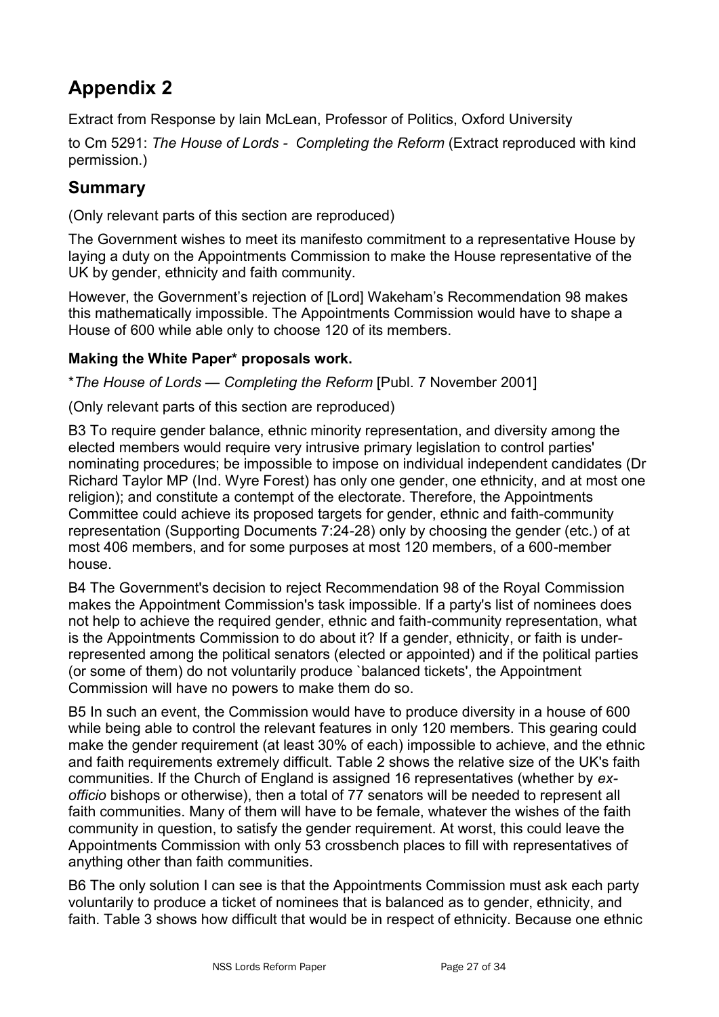Extract from Response by lain McLean, Professor of Politics, Oxford University

to Cm 5291: *The House of Lords - Completing the Reform* (Extract reproduced with kind permission.)

## **Summary**

(Only relevant parts of this section are reproduced)

The Government wishes to meet its manifesto commitment to a representative House by laying a duty on the Appointments Commission to make the House representative of the UK by gender, ethnicity and faith community.

However, the Government's rejection of [Lord] Wakeham's Recommendation 98 makes this mathematically impossible. The Appointments Commission would have to shape a House of 600 while able only to choose 120 of its members.

### **Making the White Paper\* proposals work.**

\**The House of Lords — Completing the Reform* [Publ. 7 November 2001]

(Only relevant parts of this section are reproduced)

B3 To require gender balance, ethnic minority representation, and diversity among the elected members would require very intrusive primary legislation to control parties' nominating procedures; be impossible to impose on individual independent candidates (Dr Richard Taylor MP (Ind. Wyre Forest) has only one gender, one ethnicity, and at most one religion); and constitute a contempt of the electorate. Therefore, the Appointments Committee could achieve its proposed targets for gender, ethnic and faith-community representation (Supporting Documents 7:24-28) only by choosing the gender (etc.) of at most 406 members, and for some purposes at most 120 members, of a 600-member house.

B4 The Government's decision to reject Recommendation 98 of the Royal Commission makes the Appointment Commission's task impossible. If a party's list of nominees does not help to achieve the required gender, ethnic and faith-community representation, what is the Appointments Commission to do about it? If a gender, ethnicity, or faith is underrepresented among the political senators (elected or appointed) and if the political parties (or some of them) do not voluntarily produce `balanced tickets', the Appointment Commission will have no powers to make them do so.

B5 In such an event, the Commission would have to produce diversity in a house of 600 while being able to control the relevant features in only 120 members. This gearing could make the gender requirement (at least 30% of each) impossible to achieve, and the ethnic and faith requirements extremely difficult. Table 2 shows the relative size of the UK's faith communities. If the Church of England is assigned 16 representatives (whether by *exofficio* bishops or otherwise), then a total of 77 senators will be needed to represent all faith communities. Many of them will have to be female, whatever the wishes of the faith community in question, to satisfy the gender requirement. At worst, this could leave the Appointments Commission with only 53 crossbench places to fill with representatives of anything other than faith communities.

B6 The only solution I can see is that the Appointments Commission must ask each party voluntarily to produce a ticket of nominees that is balanced as to gender, ethnicity, and faith. Table 3 shows how difficult that would be in respect of ethnicity. Because one ethnic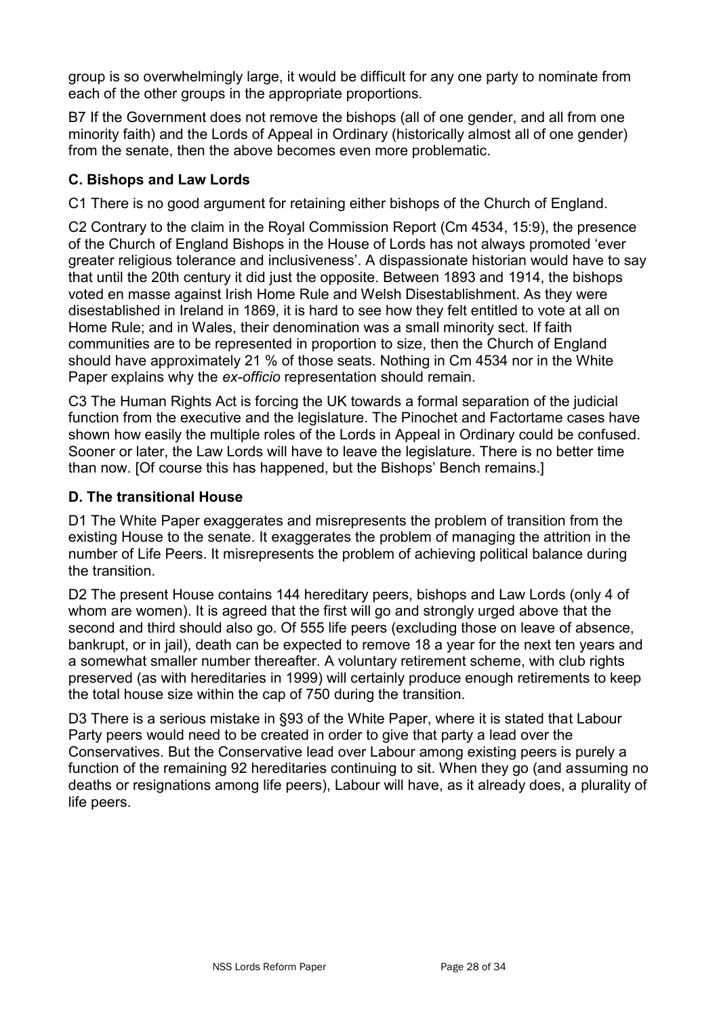group is so overwhelmingly large, it would be difficult for any one party to nominate from each of the other groups in the appropriate proportions.

B7 If the Government does not remove the bishops (all of one gender, and all from one minority faith) and the Lords of Appeal in Ordinary (historically almost all of one gender) from the senate, then the above becomes even more problematic.

### **C. Bishops and Law Lords**

C1 There is no good argument for retaining either bishops of the Church of England.

C2 Contrary to the claim in the Royal Commission Report (Cm 4534, 15:9), the presence of the Church of England Bishops in the House of Lords has not always promoted ‗ever greater religious tolerance and inclusiveness'. A dispassionate historian would have to say that until the 20th century it did just the opposite. Between 1893 and 1914, the bishops voted en masse against Irish Home Rule and Welsh Disestablishment. As they were disestablished in Ireland in 1869, it is hard to see how they felt entitled to vote at all on Home Rule; and in Wales, their denomination was a small minority sect. If faith communities are to be represented in proportion to size, then the Church of England should have approximately 21 % of those seats. Nothing in Cm 4534 nor in the White Paper explains why the *ex-officio* representation should remain.

C3 The Human Rights Act is forcing the UK towards a formal separation of the judicial function from the executive and the legislature. The Pinochet and Factortame cases have shown how easily the multiple roles of the Lords in Appeal in Ordinary could be confused. Sooner or later, the Law Lords will have to leave the legislature. There is no better time than now. [Of course this has happened, but the Bishops' Bench remains.]

#### **D. The transitional House**

D1 The White Paper exaggerates and misrepresents the problem of transition from the existing House to the senate. It exaggerates the problem of managing the attrition in the number of Life Peers. It misrepresents the problem of achieving political balance during the transition.

D2 The present House contains 144 hereditary peers, bishops and Law Lords (only 4 of whom are women). It is agreed that the first will go and strongly urged above that the second and third should also go. Of 555 life peers (excluding those on leave of absence, bankrupt, or in jail), death can be expected to remove 18 a year for the next ten years and a somewhat smaller number thereafter. A voluntary retirement scheme, with club rights preserved (as with hereditaries in 1999) will certainly produce enough retirements to keep the total house size within the cap of 750 during the transition.

D3 There is a serious mistake in §93 of the White Paper, where it is stated that Labour Party peers would need to be created in order to give that party a lead over the Conservatives. But the Conservative lead over Labour among existing peers is purely a function of the remaining 92 hereditaries continuing to sit. When they go (and assuming no deaths or resignations among life peers), Labour will have, as it already does, a plurality of life peers.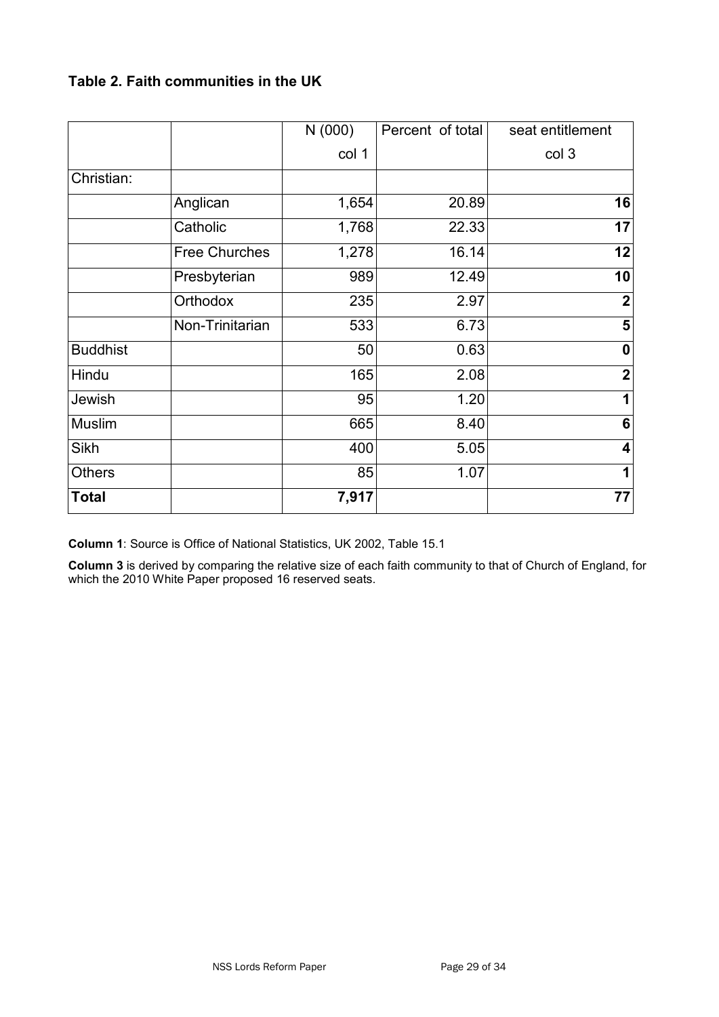## **Table 2. Faith communities in the UK**

|                 |                      | N(000) | Percent of total | seat entitlement        |
|-----------------|----------------------|--------|------------------|-------------------------|
|                 |                      | col 1  |                  | col 3                   |
| Christian:      |                      |        |                  |                         |
|                 | Anglican             | 1,654  | 20.89            | 16                      |
|                 | Catholic             | 1,768  | 22.33            | 17                      |
|                 | <b>Free Churches</b> | 1,278  | 16.14            | 12                      |
|                 | Presbyterian         | 989    | 12.49            | 10                      |
|                 | Orthodox             | 235    | 2.97             | $\overline{2}$          |
|                 | Non-Trinitarian      | 533    | 6.73             | 5                       |
| <b>Buddhist</b> |                      | 50     | 0.63             | $\boldsymbol{0}$        |
| Hindu           |                      | 165    | 2.08             | $\mathbf 2$             |
| Jewish          |                      | 95     | 1.20             | 1                       |
| Muslim          |                      | 665    | 8.40             | 6                       |
| <b>Sikh</b>     |                      | 400    | 5.05             | $\overline{\mathbf{4}}$ |
| <b>Others</b>   |                      | 85     | 1.07             | 1                       |
| <b>Total</b>    |                      | 7,917  |                  | 77                      |

**Column 1**: Source is Office of National Statistics, UK 2002, Table 15.1

**Column 3** is derived by comparing the relative size of each faith community to that of Church of England, for which the 2010 White Paper proposed 16 reserved seats.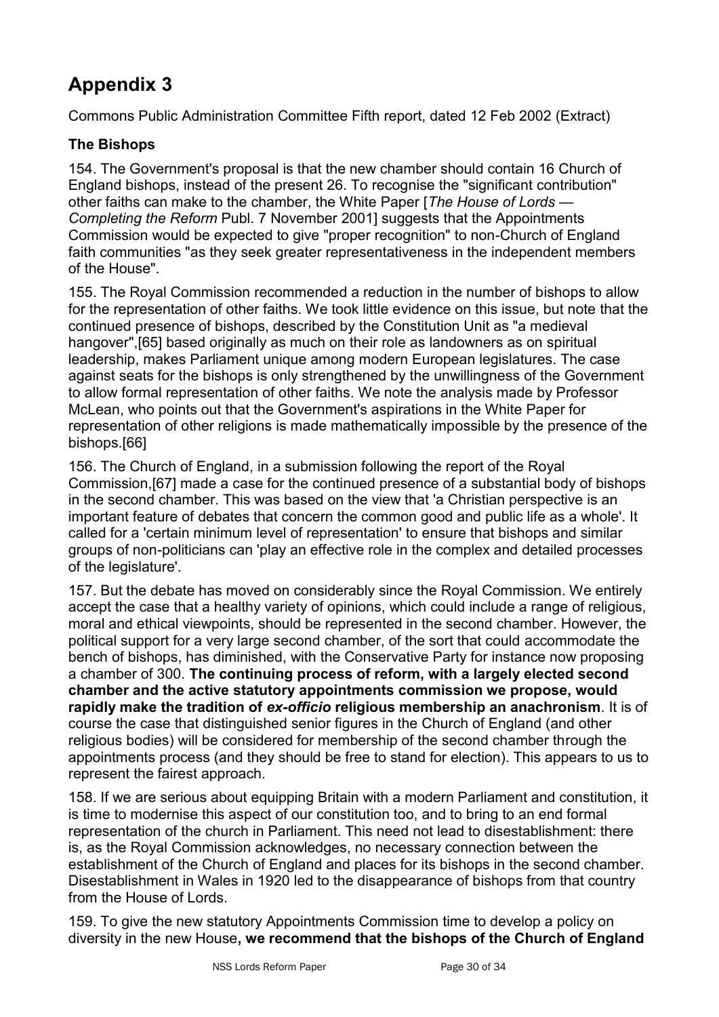Commons Public Administration Committee Fifth report, dated 12 Feb 2002 (Extract)

## **The Bishops**

154. The Government's proposal is that the new chamber should contain 16 Church of England bishops, instead of the present 26. To recognise the "significant contribution" other faiths can make to the chamber, the White Paper [*The House of Lords — Completing the Reform* Publ. 7 November 2001] suggests that the Appointments Commission would be expected to give "proper recognition" to non-Church of England faith communities "as they seek greater representativeness in the independent members of the House".

155. The Royal Commission recommended a reduction in the number of bishops to allow for the representation of other faiths. We took little evidence on this issue, but note that the continued presence of bishops, described by the Constitution Unit as "a medieval hangover",[65] based originally as much on their role as landowners as on spiritual leadership, makes Parliament unique among modern European legislatures. The case against seats for the bishops is only strengthened by the unwillingness of the Government to allow formal representation of other faiths. We note the analysis made by Professor McLean, who points out that the Government's aspirations in the White Paper for representation of other religions is made mathematically impossible by the presence of the bishops.[66]

156. The Church of England, in a submission following the report of the Royal Commission,[67] made a case for the continued presence of a substantial body of bishops in the second chamber. This was based on the view that 'a Christian perspective is an important feature of debates that concern the common good and public life as a whole'. It called for a 'certain minimum level of representation' to ensure that bishops and similar groups of non-politicians can 'play an effective role in the complex and detailed processes of the legislature'.

157. But the debate has moved on considerably since the Royal Commission. We entirely accept the case that a healthy variety of opinions, which could include a range of religious, moral and ethical viewpoints, should be represented in the second chamber. However, the political support for a very large second chamber, of the sort that could accommodate the bench of bishops, has diminished, with the Conservative Party for instance now proposing a chamber of 300. **The continuing process of reform, with a largely elected second chamber and the active statutory appointments commission we propose, would rapidly make the tradition of** *ex-officio* **religious membership an anachronism**. It is of course the case that distinguished senior figures in the Church of England (and other religious bodies) will be considered for membership of the second chamber through the appointments process (and they should be free to stand for election). This appears to us to represent the fairest approach.

158. If we are serious about equipping Britain with a modern Parliament and constitution, it is time to modernise this aspect of our constitution too, and to bring to an end formal representation of the church in Parliament. This need not lead to disestablishment: there is, as the Royal Commission acknowledges, no necessary connection between the establishment of the Church of England and places for its bishops in the second chamber. Disestablishment in Wales in 1920 led to the disappearance of bishops from that country from the House of Lords.

159. To give the new statutory Appointments Commission time to develop a policy on diversity in the new House**, we recommend that the bishops of the Church of England**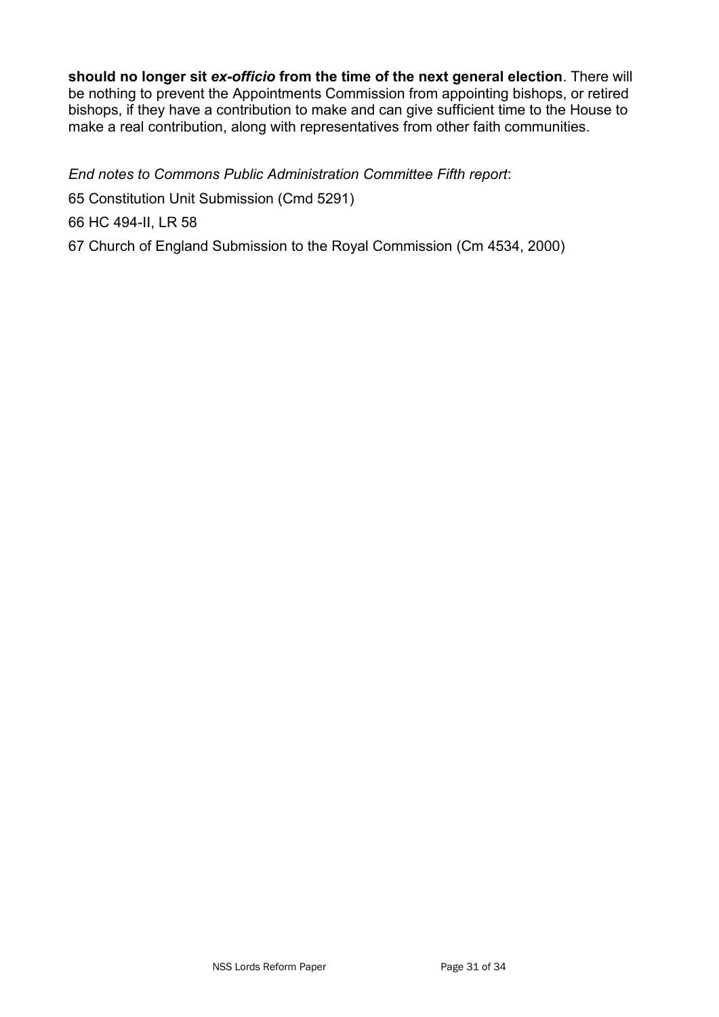**should no longer sit** *ex-officio* **from the time of the next general election**. There will be nothing to prevent the Appointments Commission from appointing bishops, or retired bishops, if they have a contribution to make and can give sufficient time to the House to make a real contribution, along with representatives from other faith communities.

*End notes to Commons Public Administration Committee Fifth report*: 65 Constitution Unit Submission (Cmd 5291) 66 HC 494-II, LR 58 67 Church of England Submission to the Royal Commission (Cm 4534, 2000)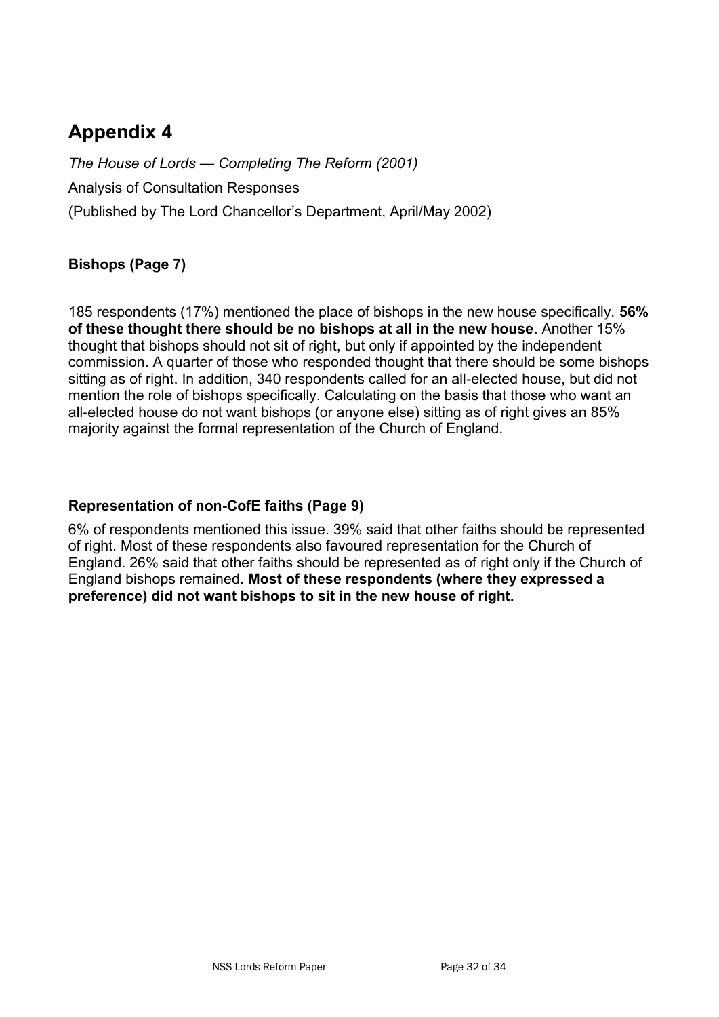*The House of Lords — Completing The Reform (2001)* Analysis of Consultation Responses (Published by The Lord Chancellor's Department, April/May 2002)

## **Bishops (Page 7)**

185 respondents (17%) mentioned the place of bishops in the new house specifically. **56% of these thought there should be no bishops at all in the new house**. Another 15% thought that bishops should not sit of right, but only if appointed by the independent commission. A quarter of those who responded thought that there should be some bishops sitting as of right. In addition, 340 respondents called for an all-elected house, but did not mention the role of bishops specifically. Calculating on the basis that those who want an all-elected house do not want bishops (or anyone else) sitting as of right gives an 85% majority against the formal representation of the Church of England.

#### **Representation of non-CofE faiths (Page 9)**

6% of respondents mentioned this issue. 39% said that other faiths should be represented of right. Most of these respondents also favoured representation for the Church of England. 26% said that other faiths should be represented as of right only if the Church of England bishops remained. **Most of these respondents (where they expressed a preference) did not want bishops to sit in the new house of right.**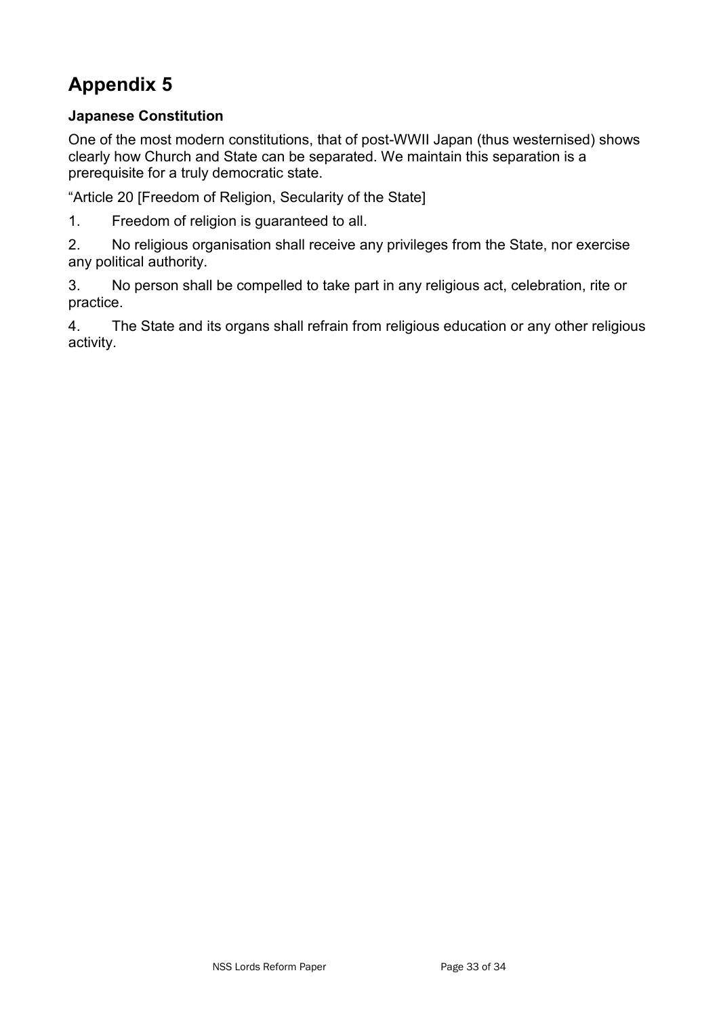## **Japanese Constitution**

One of the most modern constitutions, that of post-WWII Japan (thus westernised) shows clearly how Church and State can be separated. We maintain this separation is a prerequisite for a truly democratic state.

"Article 20 [Freedom of Religion, Secularity of the State]

1. Freedom of religion is guaranteed to all.

2. No religious organisation shall receive any privileges from the State, nor exercise any political authority.

3. No person shall be compelled to take part in any religious act, celebration, rite or practice.

4. The State and its organs shall refrain from religious education or any other religious activity.